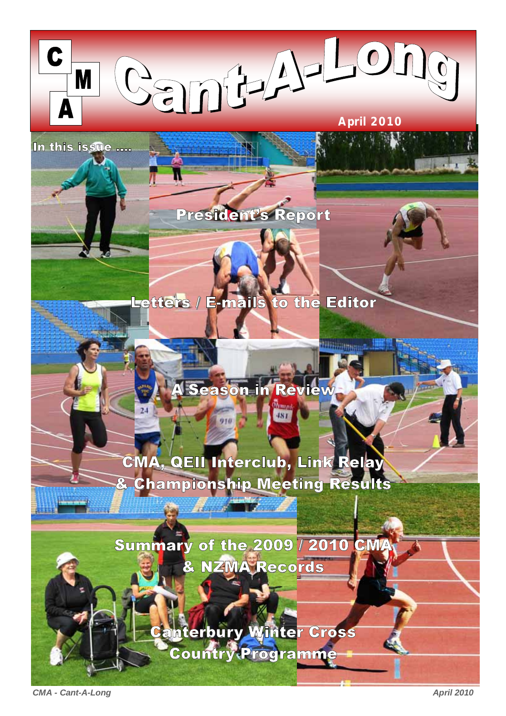

**Hillingham A. 198** 

In this issue ....

# President's Report

## Letters / E-mails to the Editor

A Season in Review

 $\frac{Hv_{H,0}}{481}$ 

# CMA, QEII Interclub, Link Relay & Championship Meeting Results

**College Street** 

Summary of the 2009 / 2010 CMA & NZMA Records

> Canterbury Winter Cross Country Programme

**CMA - Cant-A-Long April 2010 April 2010**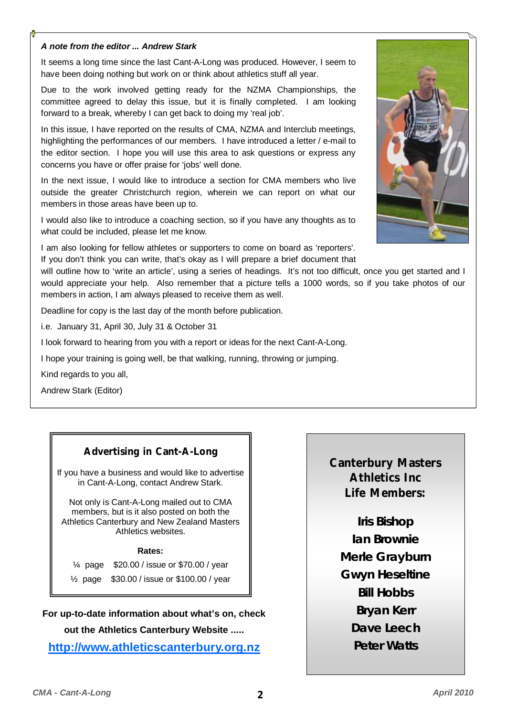#### *A note from the editor ... Andrew Stark*

It seems a long time since the last Cant-A-Long was produced. However, I seem to have been doing nothing but work on or think about athletics stuff all year.

Due to the work involved getting ready for the NZMA Championships, the committee agreed to delay this issue, but it is finally completed. I am looking forward to a break, whereby I can get back to doing my 'real job'.

In this issue, I have reported on the results of CMA, NZMA and Interclub meetings, highlighting the performances of our members. I have introduced a letter / e-mail to the editor section. I hope you will use this area to ask questions or express any concerns you have or offer praise for 'jobs' well done.

In the next issue, I would like to introduce a section for CMA members who live outside the greater Christchurch region, wherein we can report on what our members in those areas have been up to.

I would also like to introduce a coaching section, so if you have any thoughts as to what could be included, please let me know.

I am also looking for fellow athletes or supporters to come on board as 'reporters'. If you don't think you can write, that's okay as I will prepare a brief document that

will outline how to 'write an article', using a series of headings. It's not too difficult, once you get started and I would appreciate your help. Also remember that a picture tells a 1000 words, so if you take photos of our members in action, I am always pleased to receive them as well.

Deadline for copy is the last day of the month before publication.

i.e. January 31, April 30, July 31 & October 31

I look forward to hearing from you with a report or ideas for the next Cant-A-Long.

I hope your training is going well, be that walking, running, throwing or jumping.

Kind regards to you all,

Andrew Stark (Editor)

#### **Advertising in Cant-A-Long**

If you have a business and would like to advertise in Cant-A-Long, contact Andrew Stark.

Not only is Cant-A-Long mailed out to CMA members, but is it also posted on both the Athletics Canterbury and New Zealand Masters Athletics websites.

**Rates:** 

¼ page \$20.00 / issue or \$70.00 / year

½ page \$30.00 / issue or \$100.00 / year

**For up-to-date information about what's on, check out the Athletics Canterbury Website .....** 

**http://www.athleticscanterbury.org.nz**

**Canterbury Masters Athletics Inc Life Members:** 

**Iris Bishop Ian Brownie Merle Grayburn Gwyn Heseltine Bill Hobbs Bryan Kerr Dave Leech Peter Watts**

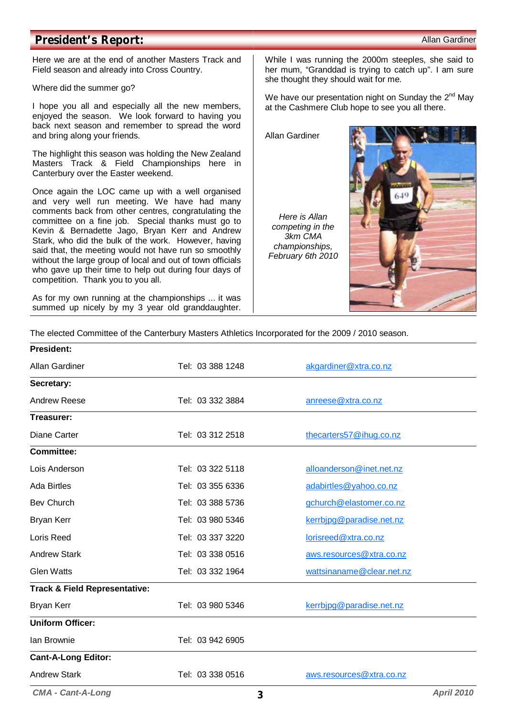#### **President's Report:**  $\blacksquare$

Here we are at the end of another Masters Track and Field season and already into Cross Country.

Where did the summer go?

I hope you all and especially all the new members, enjoyed the season. We look forward to having you back next season and remember to spread the word and bring along your friends.

The highlight this season was holding the New Zealand Masters Track & Field Championships here in Canterbury over the Easter weekend.

Once again the LOC came up with a well organised and very well run meeting. We have had many comments back from other centres, congratulating the committee on a fine job. Special thanks must go to Kevin & Bernadette Jago, Bryan Kerr and Andrew Stark, who did the bulk of the work. However, having said that, the meeting would not have run so smoothly without the large group of local and out of town officials who gave up their time to help out during four days of competition. Thank you to you all.

As for my own running at the championships ... it was summed up nicely by my 3 year old granddaughter. While I was running the 2000m steeples, she said to her mum, "Granddad is trying to catch up". I am sure she thought they should wait for me.

We have our presentation night on Sunday the  $2^{nd}$  May at the Cashmere Club hope to see you all there.

Allan Gardiner

*Here is Allan competing in the 3km CMA championships, February 6th 2010* 



The elected Committee of the Canterbury Masters Athletics Incorporated for the 2009 / 2010 season.

| <b>President:</b>                        |                  |                           |
|------------------------------------------|------------------|---------------------------|
| Allan Gardiner                           | Tel: 03 388 1248 | akgardiner@xtra.co.nz     |
| Secretary:                               |                  |                           |
| <b>Andrew Reese</b>                      | Tel: 03 332 3884 | anreese@xtra.co.nz        |
| Treasurer:                               |                  |                           |
| <b>Diane Carter</b>                      | Tel: 03 312 2518 | thecarters57@ihug.co.nz   |
| <b>Committee:</b>                        |                  |                           |
| Lois Anderson                            | Tel: 03 322 5118 | alloanderson@inet.net.nz  |
| <b>Ada Birtles</b>                       | Tel: 03 355 6336 | adabirtles@yahoo.co.nz    |
| <b>Bev Church</b>                        | Tel: 03 388 5736 | gchurch@elastomer.co.nz   |
| <b>Bryan Kerr</b>                        | Tel: 03 980 5346 | kerrbipg@paradise.net.nz  |
| Loris Reed                               | Tel: 03 337 3220 | lorisreed@xtra.co.nz      |
| <b>Andrew Stark</b>                      | Tel: 03 338 0516 | aws.resources@xtra.co.nz  |
| <b>Glen Watts</b>                        | Tel: 03 332 1964 | wattsinaname@clear.net.nz |
| <b>Track &amp; Field Representative:</b> |                  |                           |
| <b>Bryan Kerr</b>                        | Tel: 03 980 5346 | kerrbipg@paradise.net.nz  |
| <b>Uniform Officer:</b>                  |                  |                           |
| Ian Brownie                              | Tel: 03 942 6905 |                           |
| <b>Cant-A-Long Editor:</b>               |                  |                           |
| <b>Andrew Stark</b>                      | Tel: 03 338 0516 | aws.resources@xtra.co.nz  |
| <b>CMA - Cant-A-Long</b>                 | 3                | <b>April 2010</b>         |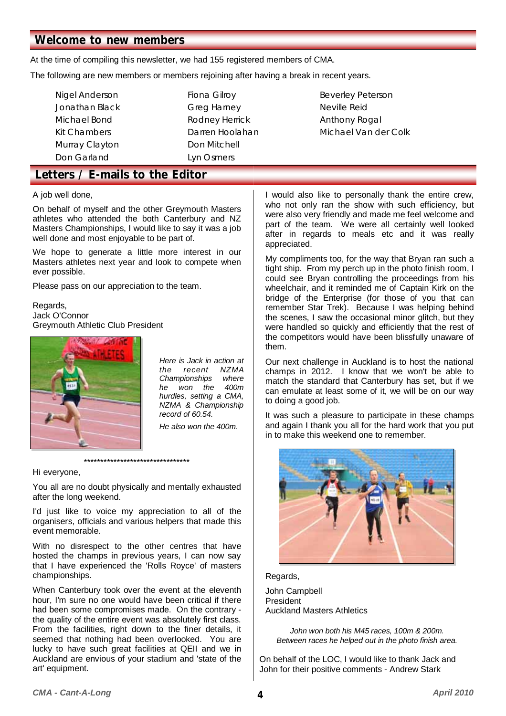#### **Welcome to new members**

At the time of compiling this newsletter, we had 155 registered members of CMA.

The following are new members or members rejoining after having a break in recent years.

- Murray Clayton **Don Mitchell** Don Garland Lyn Osmers
- Nigel Anderson **Fiona Gilroy Reverley Peterson** Jonathan Black Greg Harney Charles Neville Reid Michael Bond **Rodney Herrick** Anthony Rogal
- Kit Chambers **Darren Hoolahan** Michael Van der Colk

### **Letters / E-mails to the Editor**

A job well done,

On behalf of myself and the other Greymouth Masters athletes who attended the both Canterbury and NZ Masters Championships, I would like to say it was a job well done and most enjoyable to be part of.

We hope to generate a little more interest in our Masters athletes next year and look to compete when ever possible.

Please pass on our appreciation to the team.

Regards, Jack O'Connor Greymouth Athletic Club President



*Here is Jack in action at the recent NZMA Championships where he won the 400m hurdles, setting a CMA, NZMA & Championship record of 60.54. He also won the 400m.* 

Hi everyone,

You all are no doubt physically and mentally exhausted after the long weekend.

\*\*\*\*\*\*\*\*\*\*\*\*\*\*\*\*\*\*\*\*\*\*\*\*\*\*\*\*\*\*\*\*

I'd just like to voice my appreciation to all of the organisers, officials and various helpers that made this event memorable.

With no disrespect to the other centres that have hosted the champs in previous years, I can now say that I have experienced the 'Rolls Royce' of masters championships.

When Canterbury took over the event at the eleventh hour, I'm sure no one would have been critical if there had been some compromises made. On the contrary the quality of the entire event was absolutely first class. From the facilities, right down to the finer details, it seemed that nothing had been overlooked. You are lucky to have such great facilities at QEII and we in Auckland are envious of your stadium and 'state of the art' equipment.

I would also like to personally thank the entire crew, who not only ran the show with such efficiency, but were also very friendly and made me feel welcome and part of the team. We were all certainly well looked after in regards to meals etc and it was really appreciated.

My compliments too, for the way that Bryan ran such a tight ship. From my perch up in the photo finish room, I could see Bryan controlling the proceedings from his wheelchair, and it reminded me of Captain Kirk on the bridge of the Enterprise (for those of you that can remember Star Trek). Because I was helping behind the scenes, I saw the occasional minor glitch, but they were handled so quickly and efficiently that the rest of the competitors would have been blissfully unaware of them.

Our next challenge in Auckland is to host the national champs in 2012. I know that we won't be able to match the standard that Canterbury has set, but if we can emulate at least some of it, we will be on our way to doing a good job.

It was such a pleasure to participate in these champs and again I thank you all for the hard work that you put in to make this weekend one to remember.



#### Regards,

John Campbell President Auckland Masters Athletics

> *John won both his M45 races, 100m & 200m. Between races he helped out in the photo finish area.*

On behalf of the LOC, I would like to thank Jack and John for their positive comments - Andrew Stark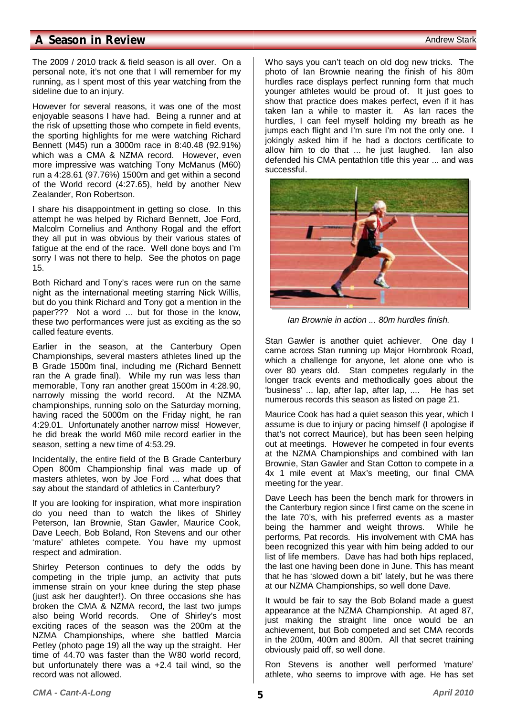#### **A Season in Review** Andrew Stark

The 2009 / 2010 track & field season is all over. On a personal note, it's not one that I will remember for my running, as I spent most of this year watching from the sideline due to an injury.

However for several reasons, it was one of the most enjoyable seasons I have had. Being a runner and at the risk of upsetting those who compete in field events, the sporting highlights for me were watching Richard Bennett (M45) run a 3000m race in 8:40.48 (92.91%) which was a CMA & NZMA record. However, even more impressive was watching Tony McManus (M60) run a 4:28.61 (97.76%) 1500m and get within a second of the World record (4:27.65), held by another New Zealander, Ron Robertson.

I share his disappointment in getting so close. In this attempt he was helped by Richard Bennett, Joe Ford, Malcolm Cornelius and Anthony Rogal and the effort they all put in was obvious by their various states of fatigue at the end of the race. Well done boys and I'm sorry I was not there to help. See the photos on page 15.

Both Richard and Tony's races were run on the same night as the international meeting starring Nick Willis, but do you think Richard and Tony got a mention in the paper??? Not a word … but for those in the know, these two performances were just as exciting as the so called feature events.

Earlier in the season, at the Canterbury Open Championships, several masters athletes lined up the B Grade 1500m final, including me (Richard Bennett ran the A grade final). While my run was less than memorable, Tony ran another great 1500m in 4:28.90, narrowly missing the world record. At the NZMA championships, running solo on the Saturday morning, having raced the 5000m on the Friday night, he ran 4:29.01. Unfortunately another narrow miss! However, he did break the world M60 mile record earlier in the season, setting a new time of 4:53.29.

Incidentally, the entire field of the B Grade Canterbury Open 800m Championship final was made up of masters athletes, won by Joe Ford ... what does that say about the standard of athletics in Canterbury?

If you are looking for inspiration, what more inspiration do you need than to watch the likes of Shirley Peterson, Ian Brownie, Stan Gawler, Maurice Cook, Dave Leech, Bob Boland, Ron Stevens and our other 'mature' athletes compete. You have my upmost respect and admiration.

Shirley Peterson continues to defy the odds by competing in the triple jump, an activity that puts immense strain on your knee during the step phase (just ask her daughter!). On three occasions she has broken the CMA & NZMA record, the last two jumps also being World records. One of Shirley's most exciting races of the season was the 200m at the NZMA Championships, where she battled Marcia Petley (photo page 19) all the way up the straight. Her time of 44.70 was faster than the W80 world record, but unfortunately there was a +2.4 tail wind, so the record was not allowed.

Who says you can't teach on old dog new tricks. The photo of Ian Brownie nearing the finish of his 80m hurdles race displays perfect running form that much younger athletes would be proud of. It just goes to show that practice does makes perfect, even if it has taken Ian a while to master it. As Ian races the hurdles, I can feel myself holding my breath as he jumps each flight and I'm sure I'm not the only one. I jokingly asked him if he had a doctors certificate to allow him to do that ... he just laughed. Ian also defended his CMA pentathlon title this year ... and was successful.



*Ian Brownie in action ... 80m hurdles finish.* 

Stan Gawler is another quiet achiever. One day I came across Stan running up Major Hornbrook Road, which a challenge for anyone, let alone one who is over 80 years old. Stan competes regularly in the longer track events and methodically goes about the 'business' ... lap, after lap, after lap, .... He has set numerous records this season as listed on page 21.

Maurice Cook has had a quiet season this year, which I assume is due to injury or pacing himself (I apologise if that's not correct Maurice), but has been seen helping out at meetings. However he competed in four events at the NZMA Championships and combined with Ian Brownie, Stan Gawler and Stan Cotton to compete in a 4x 1 mile event at Max's meeting, our final CMA meeting for the year.

Dave Leech has been the bench mark for throwers in the Canterbury region since I first came on the scene in the late 70's, with his preferred events as a master being the hammer and weight throws. While he performs, Pat records. His involvement with CMA has been recognized this year with him being added to our list of life members. Dave has had both hips replaced, the last one having been done in June. This has meant that he has 'slowed down a bit' lately, but he was there at our NZMA Championships, so well done Dave.

It would be fair to say the Bob Boland made a guest appearance at the NZMA Championship. At aged 87, just making the straight line once would be an achievement, but Bob competed and set CMA records in the 200m, 400m and 800m. All that secret training obviously paid off, so well done.

Ron Stevens is another well performed 'mature' athlete, who seems to improve with age. He has set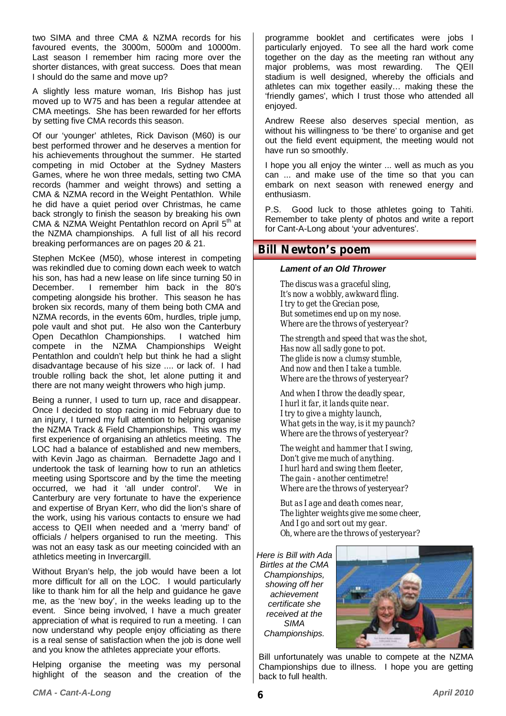two SIMA and three CMA & NZMA records for his favoured events, the 3000m, 5000m and 10000m. Last season I remember him racing more over the shorter distances, with great success. Does that mean I should do the same and move up?

A slightly less mature woman, Iris Bishop has just moved up to W75 and has been a regular attendee at CMA meetings. She has been rewarded for her efforts by setting five CMA records this season.

Of our 'younger' athletes, Rick Davison (M60) is our best performed thrower and he deserves a mention for his achievements throughout the summer. He started competing in mid October at the Sydney Masters Games, where he won three medals, setting two CMA records (hammer and weight throws) and setting a CMA & NZMA record in the Weight Pentathlon. While he did have a quiet period over Christmas, he came back strongly to finish the season by breaking his own CMA & NZMA Weight Pentathlon record on April 5<sup>th</sup> at the NZMA championships. A full list of all his record breaking performances are on pages 20 & 21.

Stephen McKee (M50), whose interest in competing was rekindled due to coming down each week to watch his son, has had a new lease on life since turning 50 in December. I remember him back in the 80's competing alongside his brother. This season he has broken six records, many of them being both CMA and NZMA records, in the events 60m, hurdles, triple jump, pole vault and shot put. He also won the Canterbury Open Decathlon Championships. I watched him compete in the NZMA Championships Weight Pentathlon and couldn't help but think he had a slight disadvantage because of his size .... or lack of. I had trouble rolling back the shot, let alone putting it and there are not many weight throwers who high jump.

Being a runner, I used to turn up, race and disappear. Once I decided to stop racing in mid February due to an injury, I turned my full attention to helping organise the NZMA Track & Field Championships. This was my first experience of organising an athletics meeting. The LOC had a balance of established and new members, with Kevin Jago as chairman. Bernadette Jago and I undertook the task of learning how to run an athletics meeting using Sportscore and by the time the meeting occurred, we had it 'all under control'. We in Canterbury are very fortunate to have the experience and expertise of Bryan Kerr, who did the lion's share of the work, using his various contacts to ensure we had access to QEII when needed and a 'merry band' of officials / helpers organised to run the meeting. This was not an easy task as our meeting coincided with an athletics meeting in Invercargill.

Without Bryan's help, the job would have been a lot more difficult for all on the LOC. I would particularly like to thank him for all the help and guidance he gave me, as the 'new boy', in the weeks leading up to the event. Since being involved, I have a much greater appreciation of what is required to run a meeting. I can now understand why people enjoy officiating as there is a real sense of satisfaction when the job is done well and you know the athletes appreciate your efforts.

Helping organise the meeting was my personal highlight of the season and the creation of the

programme booklet and certificates were jobs I particularly enjoyed. To see all the hard work come together on the day as the meeting ran without any major problems, was most rewarding. The QEII stadium is well designed, whereby the officials and athletes can mix together easily… making these the 'friendly games', which I trust those who attended all enjoyed.

Andrew Reese also deserves special mention, as without his willingness to 'be there' to organise and get out the field event equipment, the meeting would not have run so smoothly.

I hope you all enjoy the winter ... well as much as you can ... and make use of the time so that you can embark on next season with renewed energy and enthusiasm.

P.S. Good luck to those athletes going to Tahiti. Remember to take plenty of photos and write a report for Cant-A-Long about 'your adventures'.

#### **Bill Newton's poem**

#### *Lament of an Old Thrower*

*The discus was a graceful sling, It's now a wobbly, awkward fling. I try to get the Grecian pose, But sometimes end up on my nose. Where are the throws of yesteryear?* 

*The strength and speed that was the shot, Has now all sadly gone to pot. The glide is now a clumsy stumble, And now and then I take a tumble. Where are the throws of yesteryear?* 

*And when I throw the deadly spear, I hurl it far, it lands quite near. I try to give a mighty launch, What gets in the way, is it my paunch? Where are the throws of yesteryear?* 

*The weight and hammer that I swing, Don't give me much of anything. I hurl hard and swing them fleeter, The gain - another centimetre! Where are the throws of yesteryear?* 

*But as I age and death comes near, The lighter weights give me some cheer, And I go and sort out my gear. Oh, where are the throws of yesteryear?*

*Here is Bill with Ada Birtles at the CMA Championships, showing off her achievement certificate she received at the SIMA Championships.* 



Bill unfortunately was unable to compete at the NZMA Championships due to illness. I hope you are getting back to full health.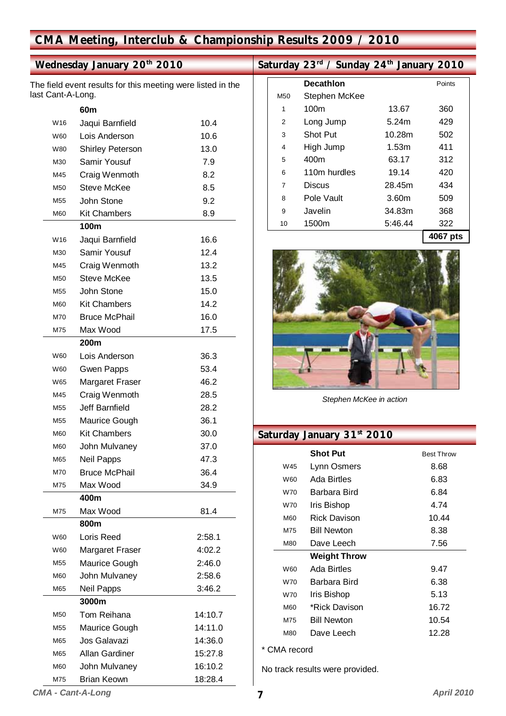### **CMA Meeting, Interclub & Championship Results 2009 / 2010**

### **Wednesday January 20th 2010**

The field event results for this meeting were listed in the last Cant-A-Long.

|     | 60m                     |         |
|-----|-------------------------|---------|
| W16 | Jaqui Barnfield         | 10.4    |
| W60 | Lois Anderson           | 10.6    |
| W80 | <b>Shirley Peterson</b> | 13.0    |
| M30 | Samir Yousuf            | 7.9     |
| M45 | Craig Wenmoth           | 8.2     |
| M50 | Steve McKee             | 8.5     |
| M55 | John Stone              | 9.2     |
| M60 | <b>Kit Chambers</b>     | 8.9     |
|     | 100m                    |         |
| W16 | Jaqui Barnfield         | 16.6    |
| M30 | Samir Yousuf            | 12.4    |
| M45 | Craig Wenmoth           | 13.2    |
| M50 | Steve McKee             | 13.5    |
| M55 | John Stone              | 15.0    |
| M60 | <b>Kit Chambers</b>     | 14.2    |
| M70 | <b>Bruce McPhail</b>    | 16.0    |
| M75 | Max Wood                | 17.5    |
|     | 200 <sub>m</sub>        |         |
| W60 | Lois Anderson           | 36.3    |
| W60 | <b>Gwen Papps</b>       | 53.4    |
| W65 | Margaret Fraser         | 46.2    |
| M45 | Craig Wenmoth           | 28.5    |
| M55 | <b>Jeff Barnfield</b>   | 28.2    |
| M55 | Maurice Gough           | 36.1    |
| M60 | <b>Kit Chambers</b>     | 30.0    |
| M60 | John Mulvaney           | 37.0    |
| M65 | <b>Neil Papps</b>       | 47.3    |
| M70 | <b>Bruce McPhail</b>    | 36.4    |
| M75 | Max Wood                | 34.9    |
|     | 400m                    |         |
| M75 | Max Wood                | 81.4    |
|     | 800m                    |         |
| W60 | Loris Reed              | 2:58.1  |
| W60 | Margaret Fraser         | 4:02.2  |
| M55 | Maurice Gough           | 2:46.0  |
| M60 | John Mulvaney           | 2:58.6  |
| M65 | <b>Neil Papps</b>       | 3:46.2  |
|     | 3000m                   |         |
| M50 | Tom Reihana             | 14:10.7 |
| M55 | Maurice Gough           | 14:11.0 |
| M65 | Jos Galavazi            | 14:36.0 |
| M65 | Allan Gardiner          | 15:27.8 |
| M60 | John Mulvaney           | 16:10.2 |
| M75 | <b>Brian Keown</b>      | 18:28.4 |

### Saturday 23<sup>rd</sup> / Sunday 24<sup>th</sup> January 2010

|                | <b>Decathlon</b> |                   | Points       |
|----------------|------------------|-------------------|--------------|
| M50            | Stephen McKee    |                   |              |
| 1              | 100m             | 13.67             | 360          |
| $\overline{2}$ | Long Jump        | 5.24m             | 429          |
| 3              | Shot Put         | 10.28m            | 502          |
| 4              | High Jump        | 1.53m             | 411          |
| 5              | 400m             | 63.17             | 312          |
| 6              | 110m hurdles     | 19.14             | 420          |
| 7              | Discus           | 28.45m            | 434          |
| 8              | Pole Vault       | 3.60 <sub>m</sub> | 509          |
| 9              | Javelin          | 34.83m            | 368          |
| 10             | 1500m            | 5:46.44           | 322          |
|                |                  |                   | $AOCZ = 4.4$ |





*Stephen McKee in action* 

### **Saturday January 31st 2010**

|            | <b>Shot Put</b>     | <b>Best Throw</b> |
|------------|---------------------|-------------------|
| W45        | Lynn Osmers         | 8.68              |
| <b>W60</b> | Ada Birtles         | 6.83              |
| W70        | Barbara Bird        | 6.84              |
| W70        | Iris Bishop         | 4.74              |
| <b>M60</b> | <b>Rick Davison</b> | 10.44             |
| M75        | <b>Bill Newton</b>  | 8.38              |
| M80        | Dave Leech          | 7.56              |
|            | <b>Weight Throw</b> |                   |
| <b>W60</b> | Ada Birtles         | 9.47              |
| W70        | Barbara Bird        | 6.38              |
| W70        | Iris Bishop         | 5.13              |
| <b>M60</b> | *Rick Davison       | 16.72             |
| M75        | <b>Bill Newton</b>  | 10.54             |
| <b>M80</b> | Dave Leech          | 12.28             |
|            |                     |                   |

\* CMA record

No track results were provided.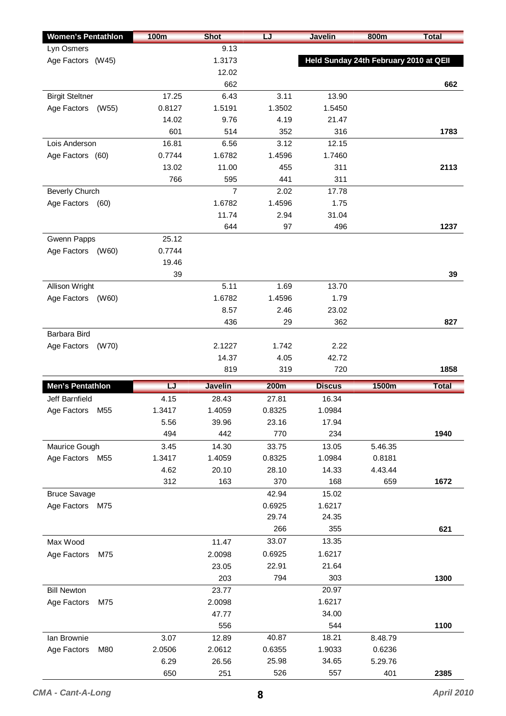| <b>Women's Pentathlon</b>      | <b>100m</b> | <b>Shot</b>    | LJ          | <b>Javelin</b> | <b>800m</b>                            | <b>Total</b> |
|--------------------------------|-------------|----------------|-------------|----------------|----------------------------------------|--------------|
| Lyn Osmers                     |             | 9.13           |             |                |                                        |              |
| Age Factors (W45)              |             | 1.3173         |             |                | Held Sunday 24th February 2010 at QEII |              |
|                                |             | 12.02          |             |                |                                        |              |
|                                |             | 662            |             |                |                                        | 662          |
| <b>Birgit Steltner</b>         | 17.25       | 6.43           | 3.11        | 13.90          |                                        |              |
| Age Factors<br>(W55)           | 0.8127      | 1.5191         | 1.3502      | 1.5450         |                                        |              |
|                                | 14.02       | 9.76           | 4.19        | 21.47          |                                        |              |
|                                | 601         | 514            | 352         | 316            |                                        | 1783         |
| Lois Anderson                  | 16.81       | 6.56           | 3.12        | 12.15          |                                        |              |
| Age Factors (60)               | 0.7744      | 1.6782         | 1.4596      | 1.7460         |                                        |              |
|                                | 13.02       | 11.00          | 455         | 311            |                                        | 2113         |
|                                | 766         | 595            | 441         | 311            |                                        |              |
| <b>Beverly Church</b>          |             | 7              | 2.02        | 17.78          |                                        |              |
| Age Factors<br>(60)            |             | 1.6782         | 1.4596      | 1.75           |                                        |              |
|                                |             | 11.74          | 2.94        | 31.04          |                                        |              |
|                                |             | 644            | 97          | 496            |                                        | 1237         |
| Gwenn Papps                    | 25.12       |                |             |                |                                        |              |
| Age Factors<br>(W60)           | 0.7744      |                |             |                |                                        |              |
|                                | 19.46       |                |             |                |                                        |              |
|                                | 39          |                |             |                |                                        | 39           |
| Allison Wright                 |             | 5.11           | 1.69        | 13.70          |                                        |              |
| Age Factors<br>(W60)           |             | 1.6782         | 1.4596      | 1.79           |                                        |              |
|                                |             | 8.57           | 2.46        | 23.02          |                                        |              |
|                                |             | 436            | 29          | 362            |                                        | 827          |
| Barbara Bird                   |             |                |             |                |                                        |              |
| Age Factors<br>(W70)           |             | 2.1227         | 1.742       | 2.22           |                                        |              |
|                                |             | 14.37          | 4.05        | 42.72          |                                        |              |
|                                |             | 819            | 319         | 720            |                                        | 1858         |
| Men's Pentathlon               | LJ          | <b>Javelin</b> | <b>200m</b> | <b>Discus</b>  | <b>1500m</b>                           | <b>Total</b> |
| Jeff Barnfield                 | 4.15        | 28.43          | 27.81       | 16.34          |                                        |              |
| Age Factors<br>M55             | 1.3417      | 1.4059         | 0.8325      | 1.0984         |                                        |              |
|                                | 5.56        | 39.96          | 23.16       | 17.94          |                                        |              |
|                                | 494         | 442            | 770         | 234            |                                        | 1940         |
| Maurice Gough                  | 3.45        | 14.30          | 33.75       | 13.05          | 5.46.35                                |              |
| Age Factors<br>M <sub>55</sub> | 1.3417      | 1.4059         | 0.8325      | 1.0984         | 0.8181                                 |              |
|                                | 4.62        | 20.10          | 28.10       | 14.33          | 4.43.44                                |              |
|                                | 312         | 163            | 370         | 168            | 659                                    | 1672         |
| <b>Bruce Savage</b>            |             |                | 42.94       | 15.02          |                                        |              |
| Age Factors<br>M75             |             |                | 0.6925      | 1.6217         |                                        |              |
|                                |             |                | 29.74       | 24.35          |                                        |              |
|                                |             |                | 266         | 355            |                                        | 621          |
| Max Wood                       |             | 11.47          | 33.07       | 13.35          |                                        |              |
| Age Factors<br>M75             |             | 2.0098         | 0.6925      | 1.6217         |                                        |              |
|                                |             | 23.05          | 22.91       | 21.64          |                                        |              |
|                                |             | 203            | 794         | 303            |                                        | 1300         |
| <b>Bill Newton</b>             |             | 23.77          |             | 20.97          |                                        |              |
| Age Factors<br>M75             |             | 2.0098         |             | 1.6217         |                                        |              |
|                                |             | 47.77          |             | 34.00          |                                        |              |
|                                |             | 556            |             | 544            |                                        | 1100         |
| lan Brownie                    | 3.07        | 12.89          | 40.87       | 18.21          | 8.48.79                                |              |
| Age Factors<br>M80             | 2.0506      | 2.0612         | 0.6355      | 1.9033         | 0.6236                                 |              |
|                                |             |                |             |                |                                        |              |
|                                | 6.29        | 26.56          | 25.98       | 34.65          | 5.29.76                                |              |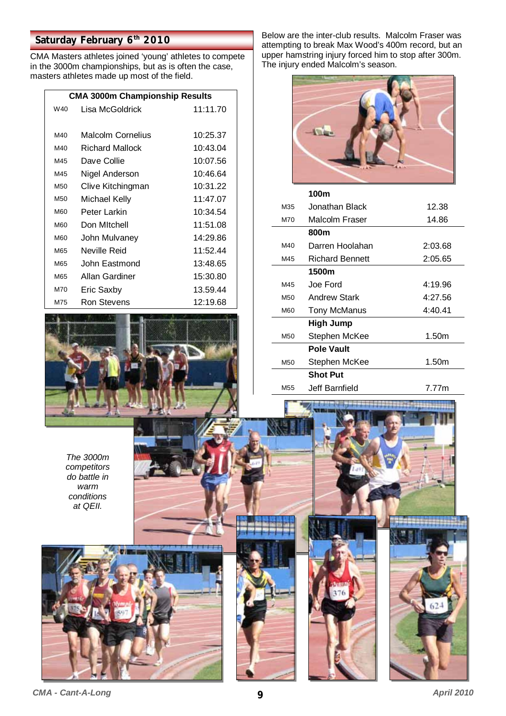### **Saturday February 6th 2010**

CMA Masters athletes joined 'young' athletes to compete in the 3000m championships, but as is often the case, masters athletes made up most of the field.

| <b>CMA 3000m Championship Results</b> |                        |          |  |  |
|---------------------------------------|------------------------|----------|--|--|
| W40                                   | Lisa McGoldrick        | 11:11.70 |  |  |
|                                       |                        |          |  |  |
| M40                                   | Malcolm Cornelius      | 10:25.37 |  |  |
| M40                                   | <b>Richard Mallock</b> | 10:43.04 |  |  |
| M45                                   | Dave Collie            | 10:07.56 |  |  |
| M45                                   | Nigel Anderson         | 10:46.64 |  |  |
| M <sub>50</sub>                       | Clive Kitchingman      | 10:31.22 |  |  |
| M <sub>50</sub>                       | Michael Kelly          | 11:47.07 |  |  |
| <b>M60</b>                            | Peter Larkin           | 10:34.54 |  |  |
| <b>M60</b>                            | Don Mitchell           | 11:51.08 |  |  |
| <b>M60</b>                            | John Mulvaney          | 14:29.86 |  |  |
| M65                                   | Neville Reid           | 11:52.44 |  |  |
| M65                                   | John Eastmond          | 13:48.65 |  |  |
| M65                                   | Allan Gardiner         | 15:30.80 |  |  |
| M70                                   | Eric Saxby             | 13.59.44 |  |  |
| M75                                   | Ron Stevens            | 12:19.68 |  |  |



*The 3000m competitors do battle in warm conditions at QEII.* 



Below are the inter-club results. Malcolm Fraser was attempting to break Max Wood's 400m record, but an upper hamstring injury forced him to stop after 300m. The injury ended Malcolm's season.



|                 | 100m                   |         |
|-----------------|------------------------|---------|
| M35             | Jonathan Black         | 12.38   |
| M70             | Malcolm Fraser         | 14.86   |
|                 | 800m                   |         |
| M40             | Darren Hoolahan        | 2:03.68 |
| M45             | <b>Richard Bennett</b> | 2:05.65 |
|                 | 1500m                  |         |
| M45             | Joe Ford               | 4:19.96 |
| M <sub>50</sub> | <b>Andrew Stark</b>    | 4:27.56 |
| M60             | Tony McManus           | 4:40.41 |
|                 | <b>High Jump</b>       |         |
| M <sub>50</sub> | Stephen McKee          | 1.50m   |
|                 | <b>Pole Vault</b>      |         |
| M <sub>50</sub> | Stephen McKee          | 1.50m   |
|                 | <b>Shot Put</b>        |         |
| M <sub>55</sub> | Jeff Barnfield         | 7.77m   |
|                 |                        |         |

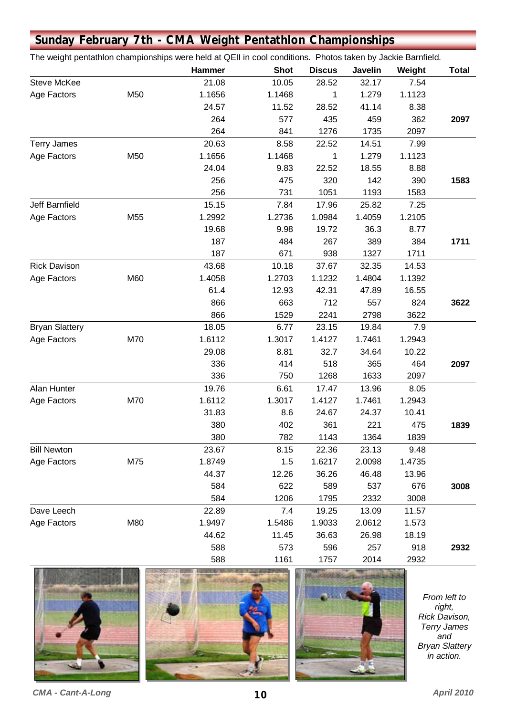|                       | Sunday February 7th - CMA Weight Pentathlon Championships                                                   |        |             |               |         |        |              |
|-----------------------|-------------------------------------------------------------------------------------------------------------|--------|-------------|---------------|---------|--------|--------------|
|                       | The weight pentathlon championships were held at QEII in cool conditions. Photos taken by Jackie Barnfield. |        |             |               |         |        |              |
|                       |                                                                                                             | Hammer | <b>Shot</b> | <b>Discus</b> | Javelin | Weight | <b>Total</b> |
| <b>Steve McKee</b>    |                                                                                                             | 21.08  | 10.05       | 28.52         | 32.17   | 7.54   |              |
| Age Factors           | M50                                                                                                         | 1.1656 | 1.1468      | 1             | 1.279   | 1.1123 |              |
|                       |                                                                                                             | 24.57  | 11.52       | 28.52         | 41.14   | 8.38   |              |
|                       |                                                                                                             | 264    | 577         | 435           | 459     | 362    | 2097         |
|                       |                                                                                                             | 264    | 841         | 1276          | 1735    | 2097   |              |
| <b>Terry James</b>    |                                                                                                             | 20.63  | 8.58        | 22.52         | 14.51   | 7.99   |              |
| Age Factors           | M50                                                                                                         | 1.1656 | 1.1468      | 1             | 1.279   | 1.1123 |              |
|                       |                                                                                                             | 24.04  | 9.83        | 22.52         | 18.55   | 8.88   |              |
|                       |                                                                                                             | 256    | 475         | 320           | 142     | 390    | 1583         |
|                       |                                                                                                             | 256    | 731         | 1051          | 1193    | 1583   |              |
| Jeff Barnfield        |                                                                                                             | 15.15  | 7.84        | 17.96         | 25.82   | 7.25   |              |
| Age Factors           | M55                                                                                                         | 1.2992 | 1.2736      | 1.0984        | 1.4059  | 1.2105 |              |
|                       |                                                                                                             | 19.68  | 9.98        | 19.72         | 36.3    | 8.77   |              |
|                       |                                                                                                             | 187    | 484         | 267           | 389     | 384    | 1711         |
|                       |                                                                                                             | 187    | 671         | 938           | 1327    | 1711   |              |
| <b>Rick Davison</b>   |                                                                                                             | 43.68  | 10.18       | 37.67         | 32.35   | 14.53  |              |
| Age Factors           | M60                                                                                                         | 1.4058 | 1.2703      | 1.1232        | 1.4804  | 1.1392 |              |
|                       |                                                                                                             | 61.4   | 12.93       | 42.31         | 47.89   | 16.55  |              |
|                       |                                                                                                             | 866    | 663         | 712           | 557     | 824    | 3622         |
|                       |                                                                                                             | 866    | 1529        | 2241          | 2798    | 3622   |              |
| <b>Bryan Slattery</b> |                                                                                                             | 18.05  | 6.77        | 23.15         | 19.84   | 7.9    |              |
| Age Factors           | M70                                                                                                         | 1.6112 | 1.3017      | 1.4127        | 1.7461  | 1.2943 |              |
|                       |                                                                                                             | 29.08  | 8.81        | 32.7          | 34.64   | 10.22  |              |
|                       |                                                                                                             | 336    | 414         | 518           | 365     | 464    | 2097         |
|                       |                                                                                                             | 336    | 750         | 1268          | 1633    | 2097   |              |
| Alan Hunter           |                                                                                                             | 19.76  | 6.61        | 17.47         | 13.96   | 8.05   |              |
| Age Factors           | M70                                                                                                         | 1.6112 | 1.3017      | 1.4127        | 1.7461  | 1.2943 |              |
|                       |                                                                                                             | 31.83  | 8.6         | 24.67         | 24.37   | 10.41  |              |
|                       |                                                                                                             | 380    | 402         | 361           | 221     | 475    | 1839         |
|                       |                                                                                                             | 380    | 782         | 1143          | 1364    | 1839   |              |
| <b>Bill Newton</b>    |                                                                                                             | 23.67  | 8.15        | 22.36         | 23.13   | 9.48   |              |
| Age Factors           | M75                                                                                                         | 1.8749 | 1.5         | 1.6217        | 2.0098  | 1.4735 |              |
|                       |                                                                                                             | 44.37  | 12.26       | 36.26         | 46.48   | 13.96  |              |
|                       |                                                                                                             | 584    | 622         | 589           | 537     | 676    | 3008         |
|                       |                                                                                                             | 584    | 1206        | 1795          | 2332    | 3008   |              |
| Dave Leech            |                                                                                                             | 22.89  | 7.4         | 19.25         | 13.09   | 11.57  |              |
| Age Factors           | M80                                                                                                         | 1.9497 | 1.5486      | 1.9033        | 2.0612  | 1.573  |              |
|                       |                                                                                                             | 44.62  | 11.45       | 36.63         | 26.98   | 18.19  |              |
|                       |                                                                                                             | 588    | 573         | 596           | 257     | 918    | 2932         |
|                       |                                                                                                             | 588    | 1161        | 1757          | 2014    | 2932   |              |



*From left to right, Rick Davison, Terry James and Bryan Slattery in action.*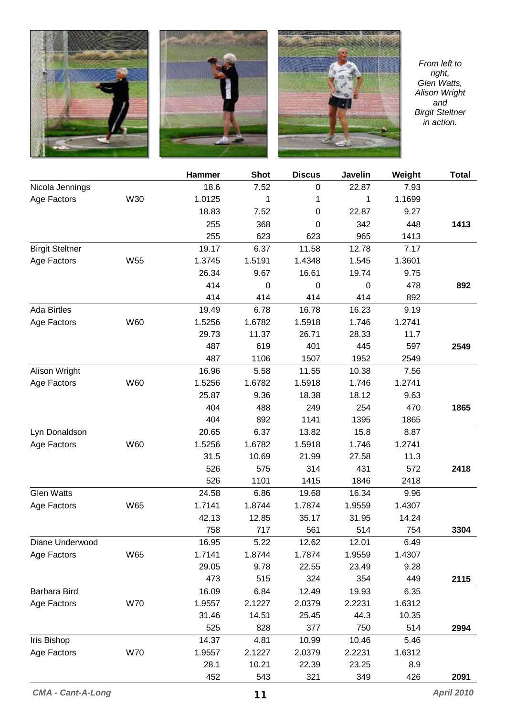





*From left to right, Glen Watts, Alison Wright and Birgit Steltner in action.* 

|                        |            | <b>Hammer</b> | <b>Shot</b> | <b>Discus</b> | Javelin | Weight | <b>Total</b> |
|------------------------|------------|---------------|-------------|---------------|---------|--------|--------------|
| Nicola Jennings        |            | 18.6          | 7.52        | 0             | 22.87   | 7.93   |              |
| Age Factors            | W30        | 1.0125        | 1           | 1             | 1       | 1.1699 |              |
|                        |            | 18.83         | 7.52        | 0             | 22.87   | 9.27   |              |
|                        |            | 255           | 368         | 0             | 342     | 448    | 1413         |
|                        |            | 255           | 623         | 623           | 965     | 1413   |              |
| <b>Birgit Steltner</b> |            | 19.17         | 6.37        | 11.58         | 12.78   | 7.17   |              |
| Age Factors            | W55        | 1.3745        | 1.5191      | 1.4348        | 1.545   | 1.3601 |              |
|                        |            | 26.34         | 9.67        | 16.61         | 19.74   | 9.75   |              |
|                        |            | 414           | $\mathbf 0$ | $\mathbf 0$   | 0       | 478    | 892          |
|                        |            | 414           | 414         | 414           | 414     | 892    |              |
| <b>Ada Birtles</b>     |            | 19.49         | 6.78        | 16.78         | 16.23   | 9.19   |              |
| Age Factors            | W60        | 1.5256        | 1.6782      | 1.5918        | 1.746   | 1.2741 |              |
|                        |            | 29.73         | 11.37       | 26.71         | 28.33   | 11.7   |              |
|                        |            | 487           | 619         | 401           | 445     | 597    | 2549         |
|                        |            | 487           | 1106        | 1507          | 1952    | 2549   |              |
| Alison Wright          |            | 16.96         | 5.58        | 11.55         | 10.38   | 7.56   |              |
| Age Factors            | W60        | 1.5256        | 1.6782      | 1.5918        | 1.746   | 1.2741 |              |
|                        |            | 25.87         | 9.36        | 18.38         | 18.12   | 9.63   |              |
|                        |            | 404           | 488         | 249           | 254     | 470    | 1865         |
|                        |            | 404           | 892         | 1141          | 1395    | 1865   |              |
| Lyn Donaldson          |            | 20.65         | 6.37        | 13.82         | 15.8    | 8.87   |              |
| Age Factors            | W60        | 1.5256        | 1.6782      | 1.5918        | 1.746   | 1.2741 |              |
|                        |            | 31.5          | 10.69       | 21.99         | 27.58   | 11.3   |              |
|                        |            | 526           | 575         | 314           | 431     | 572    | 2418         |
|                        |            | 526           | 1101        | 1415          | 1846    | 2418   |              |
| <b>Glen Watts</b>      |            | 24.58         | 6.86        | 19.68         | 16.34   | 9.96   |              |
| Age Factors            | W65        | 1.7141        | 1.8744      | 1.7874        | 1.9559  | 1.4307 |              |
|                        |            | 42.13         | 12.85       | 35.17         | 31.95   | 14.24  |              |
|                        |            | 758           | 717         | 561           | 514     | 754    | 3304         |
| Diane Underwood        |            | 16.95         | 5.22        | 12.62         | 12.01   | 6.49   |              |
| Age Factors            | W65        | 1.7141        | 1.8744      | 1.7874        | 1.9559  | 1.4307 |              |
|                        |            | 29.05         | 9.78        | 22.55         | 23.49   | 9.28   |              |
|                        |            | 473           | 515         | 324           | 354     | 449    | 2115         |
| Barbara Bird           |            | 16.09         | 6.84        | 12.49         | 19.93   | 6.35   |              |
| Age Factors            | <b>W70</b> | 1.9557        | 2.1227      | 2.0379        | 2.2231  | 1.6312 |              |
|                        |            | 31.46         | 14.51       | 25.45         | 44.3    | 10.35  |              |
|                        |            | 525           | 828         | 377           | 750     | 514    | 2994         |
| <b>Iris Bishop</b>     |            | 14.37         | 4.81        | 10.99         | 10.46   | 5.46   |              |
| Age Factors            | <b>W70</b> | 1.9557        | 2.1227      | 2.0379        | 2.2231  | 1.6312 |              |
|                        |            | 28.1          | 10.21       | 22.39         | 23.25   | 8.9    |              |
|                        |            | 452           | 543         | 321           | 349     | 426    | 2091         |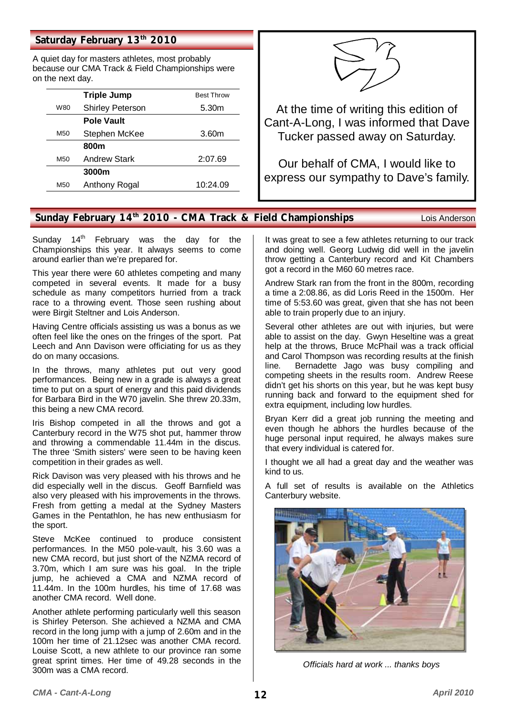#### Saturday February 13<sup>th</sup> 2010

A quiet day for masters athletes, most probably because our CMA Track & Field Championships were on the next day.

|     | <b>Triple Jump</b>      | <b>Best Throw</b> |
|-----|-------------------------|-------------------|
| W80 | <b>Shirley Peterson</b> | 5.30 <sub>m</sub> |
|     | <b>Pole Vault</b>       |                   |
| M50 | Stephen McKee           | 3.60m             |
|     | 800m                    |                   |
| M50 | <b>Andrew Stark</b>     | 2:07.69           |
|     | 3000m                   |                   |
| M50 | Anthony Rogal           | 10:24.09          |



At the time of writing this edition of Cant-A-Long, I was informed that Dave Tucker passed away on Saturday.

Our behalf of CMA, I would like to express our sympathy to Dave's family.

#### **Sunday February 14th 2010 - CMA Track & Field Championships** Lois Anderson

Sunday  $14<sup>th</sup>$  February was the day for the Championships this year. It always seems to come around earlier than we're prepared for.

This year there were 60 athletes competing and many competed in several events. It made for a busy schedule as many competitors hurried from a track race to a throwing event. Those seen rushing about were Birgit Steltner and Lois Anderson.

Having Centre officials assisting us was a bonus as we often feel like the ones on the fringes of the sport. Pat Leech and Ann Davison were officiating for us as they do on many occasions.

In the throws, many athletes put out very good performances. Being new in a grade is always a great time to put on a spurt of energy and this paid dividends for Barbara Bird in the W70 javelin. She threw 20.33m, this being a new CMA record.

Iris Bishop competed in all the throws and got a Canterbury record in the W75 shot put, hammer throw and throwing a commendable 11.44m in the discus. The three 'Smith sisters' were seen to be having keen competition in their grades as well.

Rick Davison was very pleased with his throws and he did especially well in the discus. Geoff Barnfield was also very pleased with his improvements in the throws. Fresh from getting a medal at the Sydney Masters Games in the Pentathlon, he has new enthusiasm for the sport.

Steve McKee continued to produce consistent performances. In the M50 pole-vault, his 3.60 was a new CMA record, but just short of the NZMA record of 3.70m, which I am sure was his goal. In the triple jump, he achieved a CMA and NZMA record of 11.44m. In the 100m hurdles, his time of 17.68 was another CMA record. Well done.

Another athlete performing particularly well this season is Shirley Peterson. She achieved a NZMA and CMA record in the long jump with a jump of 2.60m and in the 100m her time of 21.12sec was another CMA record. Louise Scott, a new athlete to our province ran some great sprint times. Her time of 49.28 seconds in the 300m was a CMA record.

It was great to see a few athletes returning to our track and doing well. Georg Ludwig did well in the javelin throw getting a Canterbury record and Kit Chambers got a record in the M60 60 metres race.

Andrew Stark ran from the front in the 800m, recording a time a 2:08.86, as did Loris Reed in the 1500m. Her time of 5:53.60 was great, given that she has not been able to train properly due to an injury.

Several other athletes are out with injuries, but were able to assist on the day. Gwyn Heseltine was a great help at the throws, Bruce McPhail was a track official and Carol Thompson was recording results at the finish line. Bernadette Jago was busy compiling and competing sheets in the results room. Andrew Reese didn't get his shorts on this year, but he was kept busy running back and forward to the equipment shed for extra equipment, including low hurdles.

Bryan Kerr did a great job running the meeting and even though he abhors the hurdles because of the huge personal input required, he always makes sure that every individual is catered for.

I thought we all had a great day and the weather was kind to us.

A full set of results is available on the Athletics Canterbury website.



*Officials hard at work ... thanks boys*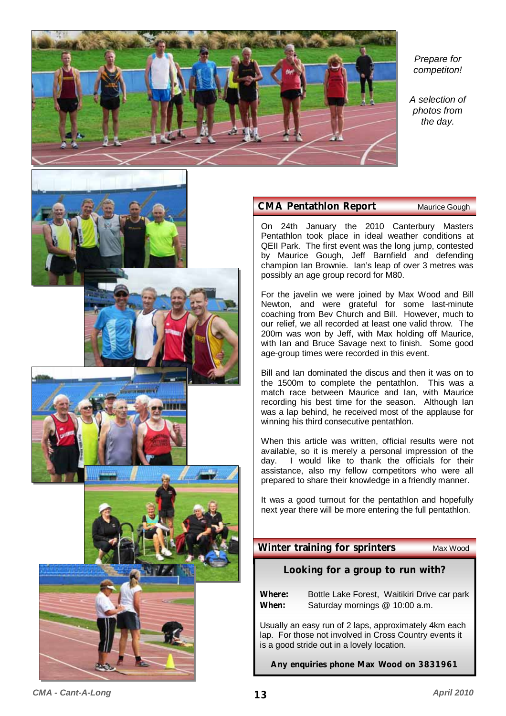

*Prepare for competiton!* 

*A selection of photos from the day.* 

#### **CMA Pentathlon Report** Maurice Gough

On 24th January the 2010 Canterbury Masters Pentathlon took place in ideal weather conditions at QEII Park. The first event was the long jump, contested by Maurice Gough, Jeff Barnfield and defending champion Ian Brownie. Ian's leap of over 3 metres was possibly an age group record for M80.

For the javelin we were joined by Max Wood and Bill Newton, and were grateful for some last-minute coaching from Bev Church and Bill. However, much to our relief, we all recorded at least one valid throw. The 200m was won by Jeff, with Max holding off Maurice, with Ian and Bruce Savage next to finish. Some good age-group times were recorded in this event.

Bill and Ian dominated the discus and then it was on to the 1500m to complete the pentathlon. This was a match race between Maurice and Ian, with Maurice recording his best time for the season. Although Ian was a lap behind, he received most of the applause for winning his third consecutive pentathlon.

When this article was written, official results were not available, so it is merely a personal impression of the day. I would like to thank the officials for their assistance, also my fellow competitors who were all prepared to share their knowledge in a friendly manner.

It was a good turnout for the pentathlon and hopefully next year there will be more entering the full pentathlon.

#### **Winter training for sprinters** Max Wood

#### **Looking for a group to run with?**

**Where:** Bottle Lake Forest, Waitikiri Drive car park **When:** Saturday mornings @ 10:00 a.m.

Usually an easy run of 2 laps, approximately 4km each lap. For those not involved in Cross Country events it is a good stride out in a lovely location.

**Any enquiries phone Max Wood on 3831961** 

*CMA - Cant-A-Long* **13** *April 2010*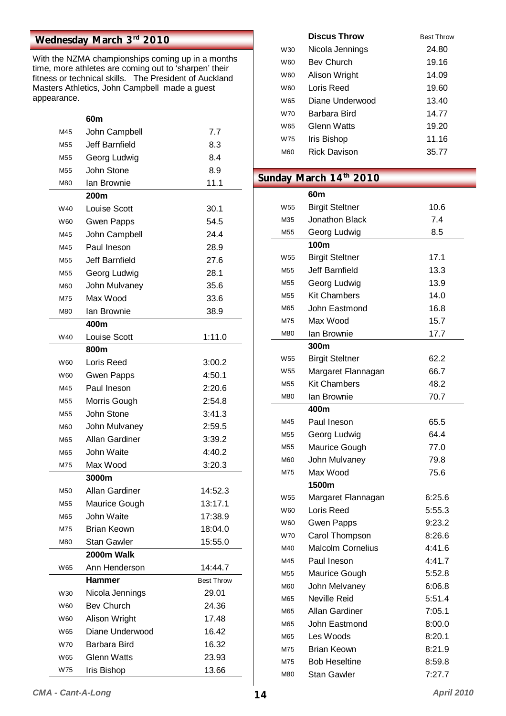### **Wednesday March 3rd 2010**

With the NZMA championships coming up in a months time, more athletes are coming out to 'sharpen' their fitness or technical skills. The President of Auckland Masters Athletics, John Campbell made a guest appearance.

|                 | 60m                   |                   |
|-----------------|-----------------------|-------------------|
| M45             | John Campbell         | 7.7               |
| M <sub>55</sub> | <b>Jeff Barnfield</b> | 8.3               |
| M55             | Georg Ludwig          | 8.4               |
| M <sub>55</sub> | John Stone            | 8.9               |
| M80             | Ian Brownie           | 11.1              |
|                 | 200m                  |                   |
| W40             | <b>Louise Scott</b>   | 30.1              |
| W60             | <b>Gwen Papps</b>     | 54.5              |
| M45             | John Campbell         | 24.4              |
| M45             | Paul Ineson           | 28.9              |
| M55             | Jeff Barnfield        | 27.6              |
| M55             | Georg Ludwig          | 28.1              |
| M60             | John Mulvaney         | 35.6              |
| M75             | Max Wood              | 33.6              |
| M80             | Ian Brownie           | 38.9              |
|                 | 400m                  |                   |
| W40             | <b>Louise Scott</b>   | 1:11.0            |
|                 | 800m                  |                   |
| W60             | Loris Reed            | 3:00.2            |
| W60             | <b>Gwen Papps</b>     | 4:50.1            |
| M45             | Paul Ineson           | 2:20.6            |
| M <sub>55</sub> | Morris Gough          | 2:54.8            |
| M55             | John Stone            | 3:41.3            |
| M60             | John Mulvaney         | 2:59.5            |
| M65             | Allan Gardiner        | 3:39.2            |
| M65             | John Waite            | 4:40.2            |
| M75             | Max Wood              | 3:20.3            |
|                 | 3000m                 |                   |
| M50             | Allan Gardiner        | 14:52.3           |
| M55             | Maurice Gough         | 13:17.1           |
| M65             | John Waite            | 17:38.9           |
| M75             | Brian Keown           | 18:04.0           |
| M80             | <b>Stan Gawler</b>    | 15:55.0           |
|                 | 2000m Walk            |                   |
| W65             | Ann Henderson         | 14:44.7           |
|                 | Hammer                | <b>Best Throw</b> |
| W30             | Nicola Jennings       | 29.01             |
| W60             | <b>Bev Church</b>     | 24.36             |
| W60             | Alison Wright         | 17.48             |
| W65             | Diane Underwood       | 16.42             |
| W70             | Barbara Bird          | 16.32             |
| W65             | <b>Glenn Watts</b>    | 23.93             |
| W75             | Iris Bishop           | 13.66             |

|            | Discus Throw      | <b>Best Throw</b> |
|------------|-------------------|-------------------|
| W30        | Nicola Jennings   | 24.80             |
| <b>W60</b> | <b>Bev Church</b> | 19.16             |
| W60        | Alison Wright     | 14.09             |
| W60        | Loris Reed        | 19.60             |
| W65        | Diane Underwood   | 13.40             |
| W70        | Barbara Bird      | 14.77             |
| W65        | Glenn Watts       | 19.20             |
| W75        | Iris Bishop       | 11.16             |
| <b>M60</b> | Rick Davison      | 35.77             |

### Sunday March 14<sup>th</sup> 2010

|                 | 60m                      |        |
|-----------------|--------------------------|--------|
| W <sub>55</sub> | <b>Birgit Steltner</b>   | 10.6   |
| M35             | Jonathon Black           | 7.4    |
| M55             | Georg Ludwig             | 8.5    |
|                 | 100m                     |        |
| W55             | <b>Birgit Steltner</b>   | 17.1   |
| M55             | <b>Jeff Barnfield</b>    | 13.3   |
| M55             | Georg Ludwig             | 13.9   |
| M55             | <b>Kit Chambers</b>      | 14.0   |
| M65             | John Eastmond            | 16.8   |
| M75             | Max Wood                 | 15.7   |
| M80             | lan Brownie              | 17.7   |
|                 | 300m                     |        |
| W55             | <b>Birgit Steltner</b>   | 62.2   |
| W <sub>55</sub> | Margaret Flannagan       | 66.7   |
| M55             | <b>Kit Chambers</b>      | 48.2   |
| M80             | lan Brownie              | 70.7   |
|                 | 400m                     |        |
| M45             | Paul Ineson              | 65.5   |
| M55             | Georg Ludwig             | 64.4   |
| M55             | Maurice Gough            | 77.0   |
| M60             | John Mulvaney            | 79.8   |
| M75             | Max Wood                 | 75.6   |
|                 | 1500m                    |        |
| W55             | Margaret Flannagan       | 6:25.6 |
| W60             | Loris Reed               | 5:55.3 |
| W60             | <b>Gwen Papps</b>        | 9:23.2 |
| W70             | Carol Thompson           | 8:26.6 |
| M40             | <b>Malcolm Cornelius</b> | 4:41.6 |
| M45             | Paul Ineson              | 4:41.7 |
| M55             | Maurice Gough            | 5:52.8 |
| M60             | John Melvaney            | 6:06.8 |
| M65             | Neville Reid             | 5:51.4 |
| M65             | Allan Gardiner           | 7:05.1 |
| M65             | John Eastmond            | 8:00.0 |
| M65             | Les Woods                | 8:20.1 |
| M75             | <b>Brian Keown</b>       | 8:21.9 |
| M75             | <b>Bob Heseltine</b>     | 8:59.8 |
| M80             | <b>Stan Gawler</b>       | 7:27.7 |
|                 |                          |        |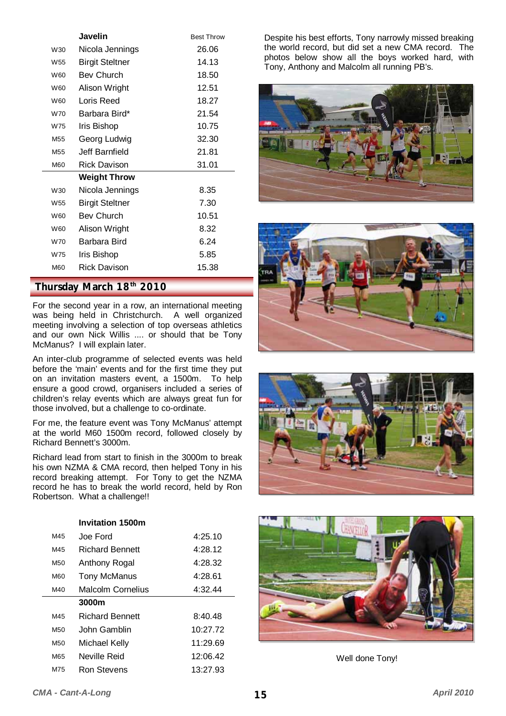|                 | Javelin                | <b>Best Throw</b> |
|-----------------|------------------------|-------------------|
| W30             | Nicola Jennings        | 26.06             |
| W <sub>55</sub> | <b>Birgit Steltner</b> | 14.13             |
| W60             | <b>Bey Church</b>      | 18.50             |
| W60             | Alison Wright          | 12.51             |
| W60             | Loris Reed             | 18.27             |
| W70             | Barbara Bird*          | 21.54             |
| W75             | Iris Bishop            | 10.75             |
| M <sub>55</sub> | Georg Ludwig           | 32.30             |
| M <sub>55</sub> | Jeff Barnfield         | 21.81             |
| M60             | <b>Rick Davison</b>    | 31.01             |
|                 | <b>Weight Throw</b>    |                   |
| W30             | Nicola Jennings        | 8.35              |
| W <sub>55</sub> | <b>Birgit Steltner</b> | 7.30              |
| <b>W60</b>      | Bev Church             | 10.51             |
| W60             | Alison Wright          | 8.32              |
| W70             | Barbara Bird           | 6.24              |
| W75             | Iris Bishop            | 5.85              |
| M60             | <b>Rick Davison</b>    | 15.38             |

#### **Thursday March 18th 2010**

For the second year in a row, an international meeting was being held in Christchurch. A well organized meeting involving a selection of top overseas athletics and our own Nick Willis .... or should that be Tony McManus? I will explain later.

An inter-club programme of selected events was held before the 'main' events and for the first time they put on an invitation masters event, a 1500m. To help ensure a good crowd, organisers included a series of children's relay events which are always great fun for those involved, but a challenge to co-ordinate.

For me, the feature event was Tony McManus' attempt at the world M60 1500m record, followed closely by Richard Bennett's 3000m.

Richard lead from start to finish in the 3000m to break his own NZMA & CMA record, then helped Tony in his record breaking attempt. For Tony to get the NZMA record he has to break the world record, held by Ron Robertson. What a challenge!!

|            | <b>Invitation 1500m</b>  |          |
|------------|--------------------------|----------|
| M45        | Joe Ford                 | 4:25.10  |
| M45        | <b>Richard Bennett</b>   | 4:28.12  |
| M50        | Anthony Rogal            | 4:28.32  |
| <b>M60</b> | Tony McManus             | 4:28.61  |
| M40        | <b>Malcolm Cornelius</b> | 4:32.44  |
|            |                          |          |
|            | 3000m                    |          |
| M45        | <b>Richard Bennett</b>   | 8:40.48  |
| M50        | John Gamblin             | 10:27.72 |
| M50        | Michael Kelly            | 11:29.69 |
| M65        | Neville Reid             | 12:06.42 |

Despite his best efforts, Tony narrowly missed breaking the world record, but did set a new CMA record. The photos below show all the boys worked hard, with Tony, Anthony and Malcolm all running PB's.









Well done Tony!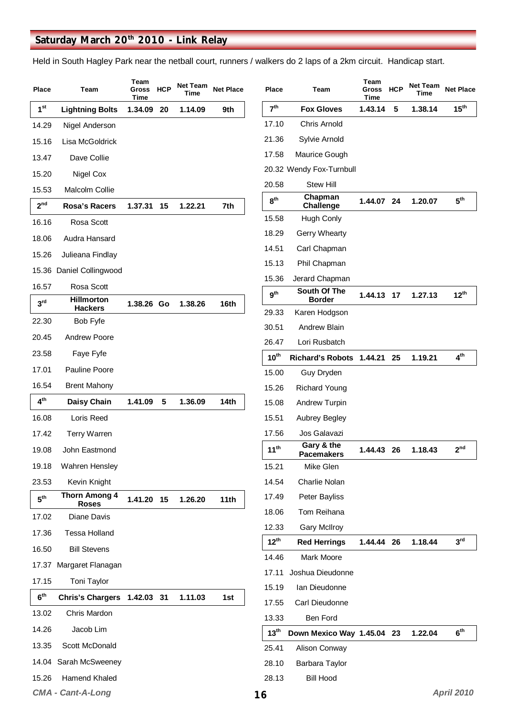### Saturday March 20<sup>th</sup> 2010 - Link Relay

Held in South Hagley Park near the netball court, runners / walkers do 2 laps of a 2km circuit. Handicap start.

| Place           | Team                                 | Team<br><b>Gross</b><br>Time | <b>HCP</b> | Net Team<br>Time | <b>Net Place</b> | Place                  | Team                            | Team<br><b>Gross</b><br>Time | <b>HCP</b> | <b>Net Team</b><br>Time | <b>Net Place</b>  |
|-----------------|--------------------------------------|------------------------------|------------|------------------|------------------|------------------------|---------------------------------|------------------------------|------------|-------------------------|-------------------|
| 1 <sup>st</sup> | <b>Lightning Bolts</b>               | 1.34.09                      | 20         | 1.14.09          | 9th              | 7 <sup>th</sup>        | <b>Fox Gloves</b>               | 1.43.14                      | 5          | 1.38.14                 | 15 <sup>th</sup>  |
| 14.29           | Nigel Anderson                       |                              |            |                  |                  | 17.10                  | <b>Chris Arnold</b>             |                              |            |                         |                   |
| 15.16           | Lisa McGoldrick                      |                              |            |                  |                  | 21.36                  | Sylvie Arnold                   |                              |            |                         |                   |
| 13.47           | Dave Collie                          |                              |            |                  |                  | 17.58                  | Maurice Gough                   |                              |            |                         |                   |
| 15.20           | Nigel Cox                            |                              |            |                  |                  |                        | 20.32 Wendy Fox-Turnbull        |                              |            |                         |                   |
| 15.53           | Malcolm Collie                       |                              |            |                  |                  | 20.58                  | <b>Stew Hill</b>                |                              |            |                         |                   |
| 2 <sup>nd</sup> | Rosa's Racers                        | 1.37.31                      | 15         | 1.22.21          | 7th              | 8 <sup>th</sup>        | Chapman<br>Challenge            | 1.44.07 24                   |            | 1.20.07                 | 5 <sup>th</sup>   |
| 16.16           | Rosa Scott                           |                              |            |                  |                  | 15.58                  | Hugh Conly                      |                              |            |                         |                   |
| 18.06           | Audra Hansard                        |                              |            |                  |                  | 18.29                  | Gerry Whearty                   |                              |            |                         |                   |
| 15.26           | Julieana Findlay                     |                              |            |                  |                  | 14.51                  | Carl Chapman                    |                              |            |                         |                   |
|                 | 15.36 Daniel Collingwood             |                              |            |                  |                  | 15.13                  | Phil Chapman                    |                              |            |                         |                   |
| 16.57           | Rosa Scott                           |                              |            |                  |                  | 15.36                  | Jerard Chapman                  |                              |            |                         |                   |
| 3 <sup>rd</sup> | <b>Hillmorton</b>                    | 1.38.26 Go                   |            | 1.38.26          | 16th             | $\mathbf{g}^\text{th}$ | South Of The<br><b>Border</b>   | 1.44.13 17                   |            | 1.27.13                 | $12^{th}$         |
|                 | <b>Hackers</b>                       |                              |            |                  |                  | 29.33                  | Karen Hodgson                   |                              |            |                         |                   |
| 22.30           | Bob Fyfe                             |                              |            |                  |                  | 30.51                  | <b>Andrew Blain</b>             |                              |            |                         |                   |
| 20.45           | <b>Andrew Poore</b>                  |                              |            |                  |                  | 26.47                  | Lori Rusbatch                   |                              |            |                         |                   |
| 23.58           | Faye Fyfe                            |                              |            |                  |                  | $10^{\text{th}}$       | Richard's Robots 1.44.21 25     |                              |            | 1.19.21                 | 4 <sup>th</sup>   |
| 17.01           | Pauline Poore                        |                              |            |                  |                  | 15.00                  | Guy Dryden                      |                              |            |                         |                   |
| 16.54           | <b>Brent Mahony</b>                  |                              |            |                  |                  | 15.26                  | <b>Richard Young</b>            |                              |            |                         |                   |
| 4 <sup>th</sup> | <b>Daisy Chain</b>                   | 1.41.09                      | 5          | 1.36.09          | 14th             | 15.08                  | Andrew Turpin                   |                              |            |                         |                   |
| 16.08           | Loris Reed                           |                              |            |                  |                  | 15.51                  | Aubrey Begley                   |                              |            |                         |                   |
| 17.42           | <b>Terry Warren</b>                  |                              |            |                  |                  | 17.56                  | Jos Galavazi                    |                              |            |                         |                   |
| 19.08           | John Eastmond                        |                              |            |                  |                  | 11 <sup>th</sup>       | Gary & the<br><b>Pacemakers</b> | 1.44.43 26                   |            | 1.18.43                 | 2 <sup>nd</sup>   |
| 19.18           | Wahren Hensley                       |                              |            |                  |                  | 15.21                  | Mike Glen                       |                              |            |                         |                   |
| 23.53           | Kevin Knight                         |                              |            |                  |                  | 14.54                  | Charlie Nolan                   |                              |            |                         |                   |
| 5 <sup>th</sup> | <b>Thorn Among 4</b><br><b>Roses</b> | 1.41.20 15                   |            | 1.26.20          | 11th             | 17.49                  | Peter Bayliss                   |                              |            |                         |                   |
| 17.02           | Diane Davis                          |                              |            |                  |                  | 18.06                  | Tom Reihana                     |                              |            |                         |                   |
| 17.36           | <b>Tessa Holland</b>                 |                              |            |                  |                  | 12.33                  | <b>Gary McIlroy</b>             |                              |            |                         |                   |
| 16.50           | <b>Bill Stevens</b>                  |                              |            |                  |                  | $12^{th}$              | <b>Red Herrings</b>             | 1.44.44 26                   |            | 1.18.44                 | 3 <sup>rd</sup>   |
| 17.37           | Margaret Flanagan                    |                              |            |                  |                  | 14.46                  | Mark Moore                      |                              |            |                         |                   |
| 17.15           | Toni Taylor                          |                              |            |                  |                  | 17.11                  | Joshua Dieudonne                |                              |            |                         |                   |
| 6 <sup>th</sup> | Chris's Chargers 1.42.03 31          |                              |            | 1.11.03          | 1st              | 15.19                  | Ian Dieudonne                   |                              |            |                         |                   |
| 13.02           | Chris Mardon                         |                              |            |                  |                  | 17.55                  | Carl Dieudonne                  |                              |            |                         |                   |
| 14.26           | Jacob Lim                            |                              |            |                  |                  | 13.33                  | Ben Ford                        |                              |            |                         |                   |
| 13.35           | Scott McDonald                       |                              |            |                  |                  | 13 <sup>th</sup>       | Down Mexico Way 1.45.04 23      |                              |            | 1.22.04                 | 6 <sup>th</sup>   |
| 14.04           | Sarah McSweeney                      |                              |            |                  |                  | 25.41                  | Alison Conway                   |                              |            |                         |                   |
|                 | Hamend Khaled                        |                              |            |                  |                  | 28.10                  | Barbara Taylor                  |                              |            |                         |                   |
| 15.26           |                                      |                              |            |                  |                  | 28.13                  | <b>Bill Hood</b>                |                              |            |                         | <b>April 2010</b> |
|                 | <b>CMA - Cant-A-Long</b>             |                              |            |                  |                  | 16                     |                                 |                              |            |                         |                   |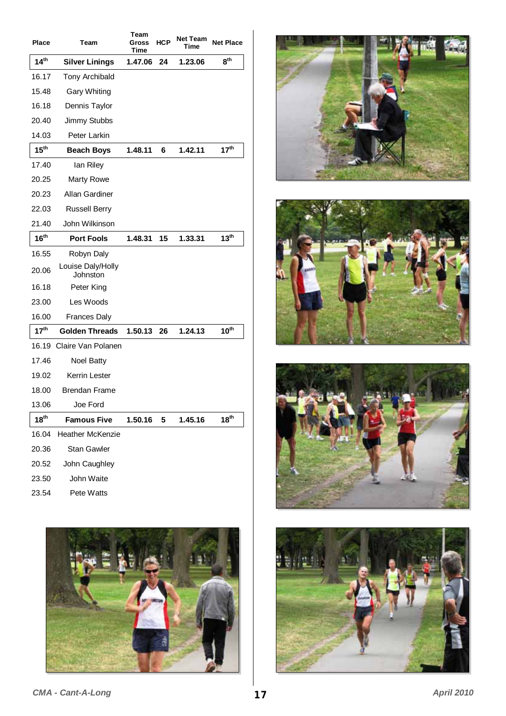| <b>Place</b>     | Team                          | Team<br>Gross<br><b>Time</b> | <b>HCP</b> | Net Team<br>Time | <b>Net Place</b> |
|------------------|-------------------------------|------------------------------|------------|------------------|------------------|
| 14 <sup>th</sup> | <b>Silver Linings</b>         | 1.47.06                      | 24         | 1.23.06          | 8 <sup>th</sup>  |
| 16.17            | Tony Archibald                |                              |            |                  |                  |
| 15.48            | <b>Gary Whiting</b>           |                              |            |                  |                  |
| 16.18            | Dennis Taylor                 |                              |            |                  |                  |
| 20.40            | Jimmy Stubbs                  |                              |            |                  |                  |
| 14.03            | Peter Larkin                  |                              |            |                  |                  |
| 15 <sup>th</sup> | <b>Beach Boys</b>             | 1.48.11                      | 6          | 1.42.11          | 17 <sup>th</sup> |
| 17.40            | lan Riley                     |                              |            |                  |                  |
| 20.25            | Marty Rowe                    |                              |            |                  |                  |
| 20.23            | Allan Gardiner                |                              |            |                  |                  |
| 22.03            | <b>Russell Berry</b>          |                              |            |                  |                  |
| 21.40            | John Wilkinson                |                              |            |                  |                  |
| 16 <sup>th</sup> | <b>Port Fools</b>             | 1.48.31                      | 15         | 1.33.31          | 13 <sup>th</sup> |
| 16.55            | Robyn Daly                    |                              |            |                  |                  |
| 20.06            | Louise Daly/Holly<br>Johnston |                              |            |                  |                  |
| 16.18            | Peter King                    |                              |            |                  |                  |
| 23.00            | Les Woods                     |                              |            |                  |                  |
| 16.00            | <b>Frances Daly</b>           |                              |            |                  |                  |
| 17 <sup>th</sup> | <b>Golden Threads</b>         | 1.50.13                      | 26         | 1.24.13          | $10^{\text{th}}$ |
| 16.19            | Claire Van Polanen            |                              |            |                  |                  |
| 17.46            | Noel Batty                    |                              |            |                  |                  |
| 19.02            | Kerrin Lester                 |                              |            |                  |                  |
| 18.00            | <b>Brendan Frame</b>          |                              |            |                  |                  |
| 13.06            | Joe Ford                      |                              |            |                  |                  |
| 18 <sup>th</sup> | <b>Famous Five</b>            | 1.50.16                      | 5          | 1.45.16          | 18 <sup>th</sup> |
| 16.04            | <b>Heather McKenzie</b>       |                              |            |                  |                  |
| 20.36            | Stan Gawler                   |                              |            |                  |                  |
| 20.52            | John Caughley                 |                              |            |                  |                  |
| 23.50            | John Waite                    |                              |            |                  |                  |
| 23.54            | Pete Watts                    |                              |            |                  |                  |











**CMA - Cant-A-Long 17 17** *April 2010*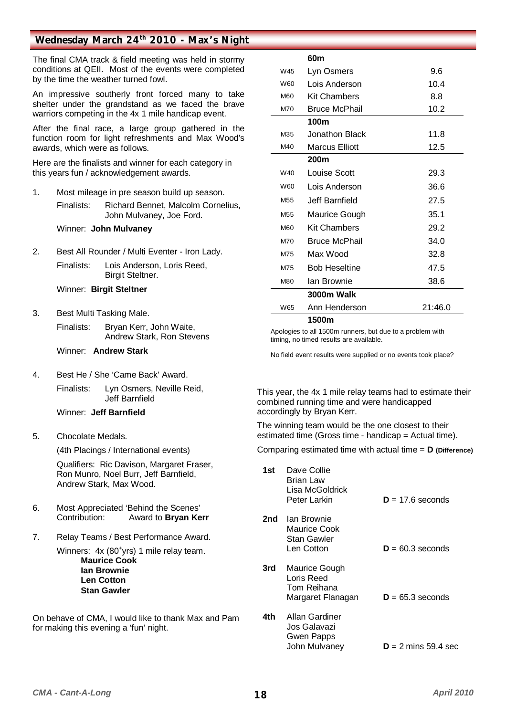#### Wednesday March 24<sup>th</sup> 2010 - Max's Night

The final CMA track & field meeting was held in stormy conditions at QEII. Most of the events were completed by the time the weather turned fowl.

An impressive southerly front forced many to take shelter under the grandstand as we faced the brave warriors competing in the 4x 1 mile handicap event.

After the final race, a large group gathered in the function room for light refreshments and Max Wood's awards, which were as follows.

Here are the finalists and winner for each category in this years fun / acknowledgement awards.

1. Most mileage in pre season build up season.

 Finalists: Richard Bennet, Malcolm Cornelius, John Mulvaney, Joe Ford.

Winner: **John Mulvaney**

2. Best All Rounder / Multi Eventer - Iron Lady.

 Finalists: Lois Anderson, Loris Reed, Birgit Steltner.

Winner: **Birgit Steltner**

3. Best Multi Tasking Male.

 Finalists: Bryan Kerr, John Waite, Andrew Stark, Ron Stevens

Winner: **Andrew Stark**

4. Best He / She 'Came Back' Award. Finalists: Lyn Osmers, Neville Reid, Jeff Barnfield

Winner: **Jeff Barnfield**

5. Chocolate Medals.

(4th Placings / International events)

 Qualifiers: Ric Davison, Margaret Fraser, Ron Munro, Noel Burr, Jeff Barnfield, Andrew Stark, Max Wood.

- 6. Most Appreciated 'Behind the Scenes' Contribution: Award to **Bryan Kerr**
- 7. Relay Teams / Best Performance Award.

Winners: 4x (80<sup>+</sup>yrs) 1 mile relay team. **Maurice Cook Ian Brownie Len Cotton Stan Gawler** 

On behave of CMA, I would like to thank Max and Pam for making this evening a 'fun' night.

|                 | 60m                   |         |
|-----------------|-----------------------|---------|
| W45             | Lyn Osmers            | 9.6     |
| W60             | Lois Anderson         | 10.4    |
| M60             | <b>Kit Chambers</b>   | 8.8     |
| M70             | <b>Bruce McPhail</b>  | 10.2    |
|                 | 100m                  |         |
| M35             | Jonathon Black        | 11.8    |
| M40             | <b>Marcus Elliott</b> | 12.5    |
|                 | 200 <sub>m</sub>      |         |
| W40             | Louise Scott          | 29.3    |
| W60             | Lois Anderson         | 36.6    |
| M <sub>55</sub> | Jeff Barnfield        | 27.5    |
| M <sub>55</sub> | Maurice Gough         | 35.1    |
| <b>M60</b>      | <b>Kit Chambers</b>   | 29.2    |
| M70             | <b>Bruce McPhail</b>  | 34.0    |
| M75             | Max Wood              | 32.8    |
| M75             | <b>Bob Heseltine</b>  | 47.5    |
| M80             | Ian Brownie           | 38.6    |
|                 | 3000m Walk            |         |
| W65             | Ann Henderson         | 21:46.0 |
|                 | 1500m                 |         |

Apologies to all 1500m runners, but due to a problem with timing, no timed results are available.

No field event results were supplied or no events took place?

This year, the 4x 1 mile relay teams had to estimate their combined running time and were handicapped accordingly by Bryan Kerr.

The winning team would be the one closest to their estimated time (Gross time - handicap = Actual time).

Comparing estimated time with actual time = **D (Difference)**

| 1st | Dave Collie<br>Brian Law<br>Lisa McGoldrick<br>Peter Larkin          | $D = 17.6$ seconds    |
|-----|----------------------------------------------------------------------|-----------------------|
| 2nd | Ian Brownie<br>Maurice Cook<br>Stan Gawler<br>Len Cotton             | $D = 60.3$ seconds    |
| 3rd | Maurice Gough<br>Loris Reed<br>Tom Reihana<br>Margaret Flanagan      | $D = 65.3$ seconds    |
| 4th | <b>Allan Gardiner</b><br>Jos Galavazi<br>Gwen Papps<br>John Mulvaney | $D = 2$ mins 59.4 sec |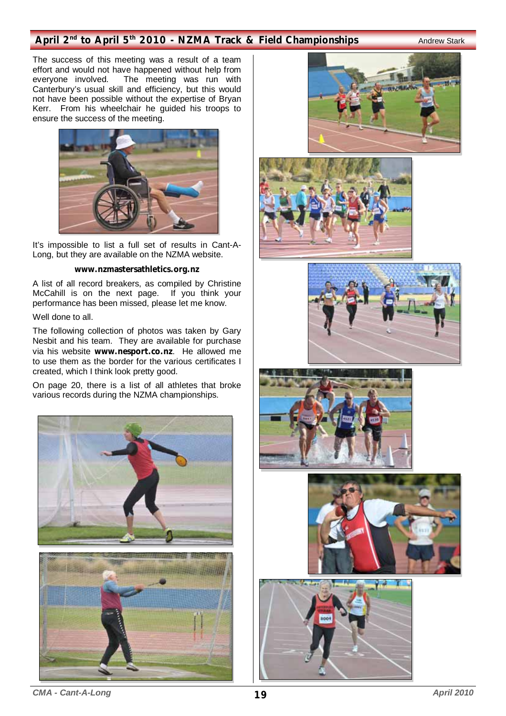#### April 2<sup>nd</sup> to April 5<sup>th</sup> 2010 - NZMA Track & Field Championships **Andrew Stark**

The success of this meeting was a result of a team effort and would not have happened without help from<br>everyone involved. The meeting was run with The meeting was run with Canterbury's usual skill and efficiency, but this would not have been possible without the expertise of Bryan Kerr. From his wheelchair he guided his troops to ensure the success of the meeting.



It's impossible to list a full set of results in Cant-A-Long, but they are available on the NZMA website.

#### **www.nzmastersathletics.org.nz**

A list of all record breakers, as compiled by Christine McCahill is on the next page. If you think your performance has been missed, please let me know.

#### Well done to all.

The following collection of photos was taken by Gary Nesbit and his team. They are available for purchase via his website **www.nesport.co.nz**. He allowed me to use them as the border for the various certificates I created, which I think look pretty good.

On page 20, there is a list of all athletes that broke various records during the NZMA championships.















*CMA - Cant-A-Long* **19** *April 2010*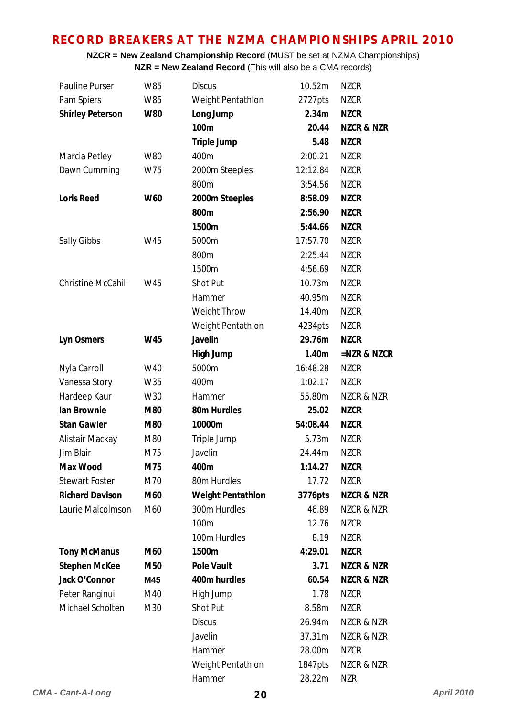### **RECORD BREAKERS AT THE NZMA CHAMPIONSHIPS APRIL 2010**

**NZCR = New Zealand Championship Record** (MUST be set at NZMA Championships) **NZR = New Zealand Record** (This will also be a CMA records)

| <b>Pauline Purser</b>   | W85        | <b>Discus</b>       | 10.52m   | <b>NZCR</b>           |
|-------------------------|------------|---------------------|----------|-----------------------|
| Pam Spiers              | W85        | Weight Pentathlon   | 2727pts  | <b>NZCR</b>           |
| <b>Shirley Peterson</b> | <b>W80</b> | Long Jump           | 2.34m    | <b>NZCR</b>           |
|                         |            | 100m                | 20.44    | <b>NZCR &amp; NZR</b> |
|                         |            | <b>Triple Jump</b>  | 5.48     | <b>NZCR</b>           |
| Marcia Petley           | W80        | 400m                | 2:00.21  | <b>NZCR</b>           |
| Dawn Cumming            | W75        | 2000m Steeples      | 12:12.84 | <b>NZCR</b>           |
|                         |            | 800m                | 3:54.56  | <b>NZCR</b>           |
| <b>Loris Reed</b>       | <b>W60</b> | 2000m Steeples      | 8:58.09  | <b>NZCR</b>           |
|                         |            | 800m                | 2:56.90  | <b>NZCR</b>           |
|                         |            | 1500m               | 5:44.66  | <b>NZCR</b>           |
| Sally Gibbs             | W45        | 5000m               | 17:57.70 | <b>NZCR</b>           |
|                         |            | 800m                | 2:25.44  | <b>NZCR</b>           |
|                         |            | 1500m               | 4:56.69  | <b>NZCR</b>           |
| Christine McCahill      | W45        | Shot Put            | 10.73m   | <b>NZCR</b>           |
|                         |            | Hammer              | 40.95m   | <b>NZCR</b>           |
|                         |            | <b>Weight Throw</b> | 14.40m   | <b>NZCR</b>           |
|                         |            | Weight Pentathlon   | 4234pts  | <b>NZCR</b>           |
| <b>Lyn Osmers</b>       | W45        | Javelin             | 29.76m   | <b>NZCR</b>           |
|                         |            | <b>High Jump</b>    | 1.40m    | =NZR & NZCR           |
| Nyla Carroll            | W40        | 5000m               | 16:48.28 | <b>NZCR</b>           |
| Vanessa Story           | W35        | 400m                | 1:02.17  | <b>NZCR</b>           |
| Hardeep Kaur            | W30        | Hammer              | 55.80m   | NZCR & NZR            |
| lan Brownie             | M80        | 80m Hurdles         | 25.02    | <b>NZCR</b>           |
| <b>Stan Gawler</b>      | M80        | 10000m              | 54:08.44 | <b>NZCR</b>           |
| Alistair Mackay         | M80        | Triple Jump         | 5.73m    | <b>NZCR</b>           |
| Jim Blair               | M75        | Javelin             | 24.44m   | <b>NZCR</b>           |
| <b>Max Wood</b>         | M75        | 400m                | 1:14.27  | <b>NZCR</b>           |
| <b>Stewart Foster</b>   | M70        | 80m Hurdles         | 17.72    | <b>NZCR</b>           |
| <b>Richard Davison</b>  | M60        | Weight Pentathlon   | 3776pts  | <b>NZCR &amp; NZR</b> |
| Laurie Malcolmson       | M60        | 300m Hurdles        | 46.89    | NZCR & NZR            |
|                         |            | 100m                | 12.76    | <b>NZCR</b>           |
|                         |            | 100m Hurdles        | 8.19     | <b>NZCR</b>           |
| <b>Tony McManus</b>     | M60        | 1500m               | 4:29.01  | <b>NZCR</b>           |
| <b>Stephen McKee</b>    | M50        | <b>Pole Vault</b>   | 3.71     | <b>NZCR &amp; NZR</b> |
| Jack O'Connor           | M45        | 400m hurdles        | 60.54    | <b>NZCR &amp; NZR</b> |
| Peter Ranginui          | M40        | High Jump           | 1.78     | <b>NZCR</b>           |
| Michael Scholten        | M30        | Shot Put            | 8.58m    | <b>NZCR</b>           |
|                         |            | <b>Discus</b>       | 26.94m   | NZCR & NZR            |
|                         |            | Javelin             | 37.31m   | NZCR & NZR            |
|                         |            | Hammer              | 28.00m   | <b>NZCR</b>           |
|                         |            | Weight Pentathlon   | 1847pts  | NZCR & NZR            |
|                         |            | Hammer              | 28.22m   | <b>NZR</b>            |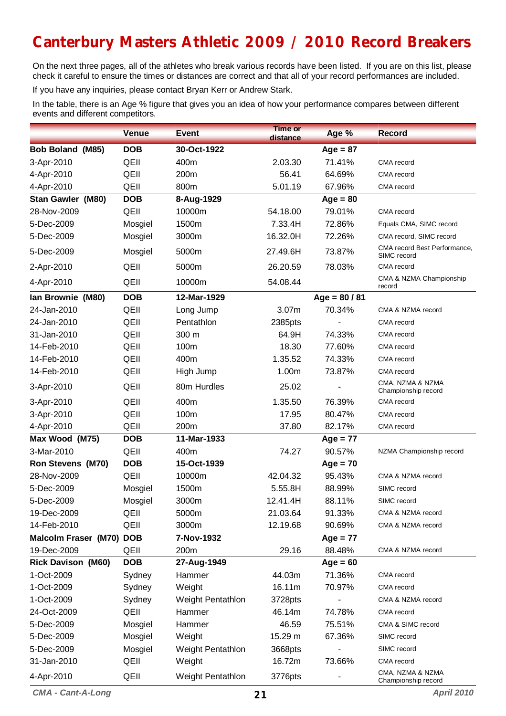# **Canterbury Masters Athletic 2009 / 2010 Record Breakers**

On the next three pages, all of the athletes who break various records have been listed. If you are on this list, please check it careful to ensure the times or distances are correct and that all of your record performances are included.

If you have any inquiries, please contact Bryan Kerr or Andrew Stark.

In the table, there is an Age % figure that gives you an idea of how your performance compares between different events and different competitors.

|                             | <b>Venue</b> | <b>Event</b>             | <b>Time or</b><br>distance | Age %           | <b>Record</b>                               |
|-----------------------------|--------------|--------------------------|----------------------------|-----------------|---------------------------------------------|
| Bob Boland (M85)            | <b>DOB</b>   | 30-Oct-1922              |                            | $Age = 87$      |                                             |
| 3-Apr-2010                  | QEII         | 400m                     | 2.03.30                    | 71.41%          | CMA record                                  |
| 4-Apr-2010                  | QEII         | 200m                     | 56.41                      | 64.69%          | CMA record                                  |
| 4-Apr-2010                  | QEII         | 800m                     | 5.01.19                    | 67.96%          | CMA record                                  |
| Stan Gawler (M80)           | <b>DOB</b>   | 8-Aug-1929               |                            | $Age = 80$      |                                             |
| 28-Nov-2009                 | QEII         | 10000m                   | 54.18.00                   | 79.01%          | CMA record                                  |
| 5-Dec-2009                  | Mosgiel      | 1500m                    | 7.33.4H                    | 72.86%          | Equals CMA, SIMC record                     |
| 5-Dec-2009                  | Mosgiel      | 3000m                    | 16.32.0H                   | 72.26%          | CMA record, SIMC record                     |
| 5-Dec-2009                  | Mosgiel      | 5000m                    | 27.49.6H                   | 73.87%          | CMA record Best Performance,<br>SIMC record |
| 2-Apr-2010                  | QEII         | 5000m                    | 26.20.59                   | 78.03%          | CMA record                                  |
| 4-Apr-2010                  | QEII         | 10000m                   | 54.08.44                   |                 | CMA & NZMA Championship<br>record           |
| Ian Brownie (M80)           | <b>DOB</b>   | 12-Mar-1929              |                            | $Age = 80 / 81$ |                                             |
| 24-Jan-2010                 | QEII         | Long Jump                | 3.07m                      | 70.34%          | CMA & NZMA record                           |
| 24-Jan-2010                 | QEII         | Pentathlon               | 2385pts                    |                 | CMA record                                  |
| 31-Jan-2010                 | QEII         | 300 m                    | 64.9H                      | 74.33%          | CMA record                                  |
| 14-Feb-2010                 | QEII         | 100m                     | 18.30                      | 77.60%          | CMA record                                  |
| 14-Feb-2010                 | QEII         | 400m                     | 1.35.52                    | 74.33%          | CMA record                                  |
| 14-Feb-2010                 | QEII         | High Jump                | 1.00m                      | 73.87%          | CMA record                                  |
| 3-Apr-2010                  | QEII         | 80m Hurdles              | 25.02                      |                 | CMA, NZMA & NZMA<br>Championship record     |
| 3-Apr-2010                  | QEII         | 400m                     | 1.35.50                    | 76.39%          | CMA record                                  |
| 3-Apr-2010                  | QEII         | 100m                     | 17.95                      | 80.47%          | CMA record                                  |
| 4-Apr-2010                  | QEII         | 200m                     | 37.80                      | 82.17%          | CMA record                                  |
| Max Wood (M75)              | <b>DOB</b>   | 11-Mar-1933              |                            | $Age = 77$      |                                             |
| 3-Mar-2010                  | QEII         | 400m                     | 74.27                      | 90.57%          | NZMA Championship record                    |
| <b>Ron Stevens (M70)</b>    | <b>DOB</b>   | 15-Oct-1939              |                            | $Age = 70$      |                                             |
| 28-Nov-2009                 | QEII         | 10000m                   | 42.04.32                   | 95.43%          | CMA & NZMA record                           |
| 5-Dec-2009                  | Mosgiel      | 1500m                    | 5.55.8H                    | 88.99%          | SIMC record                                 |
| 5-Dec-2009                  | Mosgiel      | 3000m                    | 12.41.4H                   | 88.11%          | SIMC record                                 |
| 19-Dec-2009                 | QEII         | 5000m                    | 21.03.64                   | 91.33%          | CMA & NZMA record                           |
| 14-Feb-2010                 | QEII         | 3000m                    | 12.19.68                   | 90.69%          | CMA & NZMA record                           |
| <b>Malcolm Fraser (M70)</b> | <b>DOB</b>   | 7-Nov-1932               |                            | $Age = 77$      |                                             |
| 19-Dec-2009                 | QEII         | 200m                     | 29.16                      | 88.48%          | CMA & NZMA record                           |
| <b>Rick Davison (M60)</b>   | <b>DOB</b>   | 27-Aug-1949              |                            | $Age = 60$      |                                             |
| 1-Oct-2009                  | Sydney       | Hammer                   | 44.03m                     | 71.36%          | CMA record                                  |
| 1-Oct-2009                  | Sydney       | Weight                   | 16.11m                     | 70.97%          | CMA record                                  |
| 1-Oct-2009                  | Sydney       | Weight Pentathlon        | 3728pts                    |                 | CMA & NZMA record                           |
| 24-Oct-2009                 | QEII         | Hammer                   | 46.14m                     | 74.78%          | CMA record                                  |
| 5-Dec-2009                  | Mosgiel      | Hammer                   | 46.59                      | 75.51%          | CMA & SIMC record                           |
| 5-Dec-2009                  | Mosgiel      | Weight                   | 15.29 m                    | 67.36%          | SIMC record                                 |
| 5-Dec-2009                  | Mosgiel      | <b>Weight Pentathlon</b> | 3668pts                    |                 | SIMC record                                 |
| 31-Jan-2010                 | QEII         | Weight                   | 16.72m                     | 73.66%          | CMA record                                  |
| 4-Apr-2010                  | QEII         | Weight Pentathlon        | 3776pts                    |                 | CMA, NZMA & NZMA<br>Championship record     |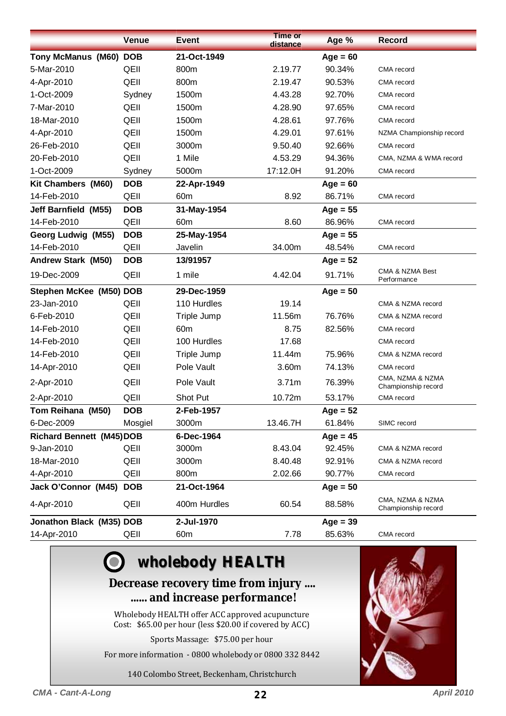|                                 | <b>Venue</b> | <b>Event</b>    | <b>Time or</b><br>distance | Age %      | <b>Record</b>                           |
|---------------------------------|--------------|-----------------|----------------------------|------------|-----------------------------------------|
| <b>Tony McManus (M60) DOB</b>   |              | 21-Oct-1949     |                            | $Age = 60$ |                                         |
| 5-Mar-2010                      | QEII         | 800m            | 2.19.77                    | 90.34%     | CMA record                              |
| 4-Apr-2010                      | QEII         | 800m            | 2.19.47                    | 90.53%     | CMA record                              |
| 1-Oct-2009                      | Sydney       | 1500m           | 4.43.28                    | 92.70%     | CMA record                              |
| 7-Mar-2010                      | QEII         | 1500m           | 4.28.90                    | 97.65%     | CMA record                              |
| 18-Mar-2010                     | QEII         | 1500m           | 4.28.61                    | 97.76%     | CMA record                              |
| 4-Apr-2010                      | QEII         | 1500m           | 4.29.01                    | 97.61%     | NZMA Championship record                |
| 26-Feb-2010                     | QEII         | 3000m           | 9.50.40                    | 92.66%     | CMA record                              |
| 20-Feb-2010                     | QEII         | 1 Mile          | 4.53.29                    | 94.36%     | CMA, NZMA & WMA record                  |
| 1-Oct-2009                      | Sydney       | 5000m           | 17:12.0H                   | 91.20%     | CMA record                              |
| Kit Chambers (M60)              | <b>DOB</b>   | 22-Apr-1949     |                            | $Age = 60$ |                                         |
| 14-Feb-2010                     | QEII         | 60 <sub>m</sub> | 8.92                       | 86.71%     | CMA record                              |
| <b>Jeff Barnfield (M55)</b>     | <b>DOB</b>   | 31-May-1954     |                            | $Age = 55$ |                                         |
| 14-Feb-2010                     | QEII         | 60 <sub>m</sub> | 8.60                       | 86.96%     | CMA record                              |
| Georg Ludwig (M55)              | <b>DOB</b>   | 25-May-1954     |                            | $Age = 55$ |                                         |
| 14-Feb-2010                     | QEII         | Javelin         | 34.00m                     | 48.54%     | CMA record                              |
| <b>Andrew Stark (M50)</b>       | <b>DOB</b>   | 13/91957        |                            | $Age = 52$ |                                         |
| 19-Dec-2009                     | QEII         | 1 mile          | 4.42.04                    | 91.71%     | CMA & NZMA Best<br>Performance          |
| Stephen McKee (M50) DOB         |              | 29-Dec-1959     |                            | $Age = 50$ |                                         |
| 23-Jan-2010                     | QEII         | 110 Hurdles     | 19.14                      |            | CMA & NZMA record                       |
| 6-Feb-2010                      | QEII         | Triple Jump     | 11.56m                     | 76.76%     | CMA & NZMA record                       |
| 14-Feb-2010                     | QEII         | 60 <sub>m</sub> | 8.75                       | 82.56%     | CMA record                              |
| 14-Feb-2010                     | QEII         | 100 Hurdles     | 17.68                      |            | CMA record                              |
| 14-Feb-2010                     | QEII         | Triple Jump     | 11.44m                     | 75.96%     | CMA & NZMA record                       |
| 14-Apr-2010                     | QEII         | Pole Vault      | 3.60m                      | 74.13%     | CMA record                              |
| 2-Apr-2010                      | QEII         | Pole Vault      | 3.71m                      | 76.39%     | CMA, NZMA & NZMA<br>Championship record |
| 2-Apr-2010                      | QEII         | Shot Put        | 10.72m                     | 53.17%     | CMA record                              |
| Tom Reihana (M50)               | <b>DOB</b>   | 2-Feb-1957      |                            | $Age = 52$ |                                         |
| 6-Dec-2009                      | Mosgiel      | 3000m           | 13.46.7H                   | 61.84%     | SIMC record                             |
| <b>Richard Bennett (M45)DOB</b> |              | 6-Dec-1964      |                            | $Age = 45$ |                                         |
| 9-Jan-2010                      | QEII         | 3000m           | 8.43.04                    | 92.45%     | CMA & NZMA record                       |
| 18-Mar-2010                     | QEII         | 3000m           | 8.40.48                    | 92.91%     | CMA & NZMA record                       |
| 4-Apr-2010                      | QEII         | 800m            | 2.02.66                    | 90.77%     | CMA record                              |
| Jack O'Connor (M45)             | <b>DOB</b>   | 21-Oct-1964     |                            | $Age = 50$ |                                         |
| 4-Apr-2010                      | QEII         | 400m Hurdles    | 60.54                      | 88.58%     | CMA, NZMA & NZMA<br>Championship record |
| Jonathon Black (M35) DOB        |              | 2-Jul-1970      |                            | $Age = 39$ |                                         |
| 14-Apr-2010                     | QEII         | 60 <sub>m</sub> | 7.78                       | 85.63%     | CMA record                              |

# **wholebody HEALTH wholebody HEALTH**

### **Decrease recovery time from injury .... ...... and increase performance!**

Wholebody HEALTH offer ACC approved acupuncture Cost: \$65.00 per hour (less \$20.00 if covered by ACC)

Sports Massage: \$75.00 per hour

For more information - 0800 wholebody or 0800 332 8442

140 Colombo Street, Beckenham, Christchurch

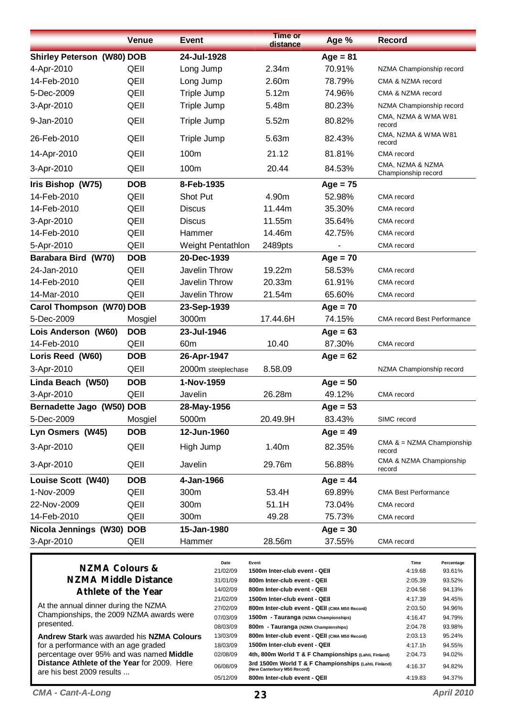|                                   | <b>Venue</b>                | <b>Event</b>             | <b>Time or</b><br>distance                                    | Age %      | <b>Record</b>                           |
|-----------------------------------|-----------------------------|--------------------------|---------------------------------------------------------------|------------|-----------------------------------------|
| <b>Shirley Peterson (W80) DOB</b> |                             | 24-Jul-1928              |                                                               | $Age = 81$ |                                         |
| 4-Apr-2010                        | QEII                        | Long Jump                | 2.34m                                                         | 70.91%     | NZMA Championship record                |
| 14-Feb-2010                       | QEII                        | Long Jump                | 2.60m                                                         | 78.79%     | CMA & NZMA record                       |
| 5-Dec-2009                        | QEII                        | Triple Jump              | 5.12m                                                         | 74.96%     | CMA & NZMA record                       |
| 3-Apr-2010                        | QEII                        | Triple Jump              | 5.48m                                                         | 80.23%     | NZMA Championship record                |
| 9-Jan-2010                        | QEII                        | Triple Jump              | 5.52m                                                         | 80.82%     | CMA, NZMA & WMA W81<br>record           |
| 26-Feb-2010                       | QEII                        | Triple Jump              | 5.63m                                                         | 82.43%     | CMA, NZMA & WMA W81<br>record           |
| 14-Apr-2010                       | QEII                        | 100m                     | 21.12                                                         | 81.81%     | CMA record                              |
| 3-Apr-2010                        | QEII                        | 100m                     | 20.44                                                         | 84.53%     | CMA, NZMA & NZMA<br>Championship record |
| Iris Bishop (W75)                 | <b>DOB</b>                  | 8-Feb-1935               |                                                               | $Age = 75$ |                                         |
| 14-Feb-2010                       | QEII                        | Shot Put                 | 4.90m                                                         | 52.98%     | CMA record                              |
| 14-Feb-2010                       | QEII                        | <b>Discus</b>            | 11.44m                                                        | 35.30%     | CMA record                              |
| 3-Apr-2010                        | QEII                        | <b>Discus</b>            | 11.55m                                                        | 35.64%     | CMA record                              |
| 14-Feb-2010                       | QEII                        | Hammer                   | 14.46m                                                        | 42.75%     | CMA record                              |
| 5-Apr-2010                        | QEII                        | <b>Weight Pentathlon</b> | 2489pts                                                       |            | CMA record                              |
| Barabara Bird (W70)               | <b>DOB</b>                  | 20-Dec-1939              |                                                               | $Age = 70$ |                                         |
| 24-Jan-2010                       | QEII                        | Javelin Throw            | 19.22m                                                        | 58.53%     | CMA record                              |
| 14-Feb-2010                       | QEII                        | Javelin Throw            | 20.33m                                                        | 61.91%     | CMA record                              |
| 14-Mar-2010                       | QEII                        | Javelin Throw            | 21.54m                                                        | 65.60%     | CMA record                              |
| Carol Thompson (W70) DOB          |                             | 23-Sep-1939              |                                                               | $Age = 70$ |                                         |
| 5-Dec-2009                        | Mosgiel                     | 3000m                    | 17.44.6H                                                      | 74.15%     | <b>CMA record Best Performance</b>      |
| Lois Anderson (W60)               | <b>DOB</b>                  | 23-Jul-1946              |                                                               | $Age = 63$ |                                         |
| 14-Feb-2010                       | QEII                        | 60 <sub>m</sub>          | 10.40                                                         | 87.30%     | CMA record                              |
| Loris Reed (W60)                  | <b>DOB</b>                  | 26-Apr-1947              |                                                               | $Age = 62$ |                                         |
| 3-Apr-2010                        | QEII                        | 2000m steeplechase       | 8.58.09                                                       |            | NZMA Championship record                |
| Linda Beach (W50)                 | <b>DOB</b>                  | 1-Nov-1959               |                                                               | $Age = 50$ |                                         |
| 3-Apr-2010                        | QEII                        | Javelin                  | 26.28m                                                        | 49.12%     | CMA record                              |
| Bernadette Jago (W50) DOB         |                             | 28-May-1956              |                                                               | $Age = 53$ |                                         |
| 5-Dec-2009                        | Mosgiel                     | 5000m                    | 20.49.9H                                                      | 83.43%     | SIMC record                             |
| Lyn Osmers (W45)                  | <b>DOB</b>                  | 12-Jun-1960              |                                                               | $Age = 49$ |                                         |
| 3-Apr-2010                        | QEII                        | High Jump                | 1.40m                                                         | 82.35%     | CMA $& = NZMA$ Championship<br>record   |
| 3-Apr-2010                        | QEII                        | Javelin                  | 29.76m                                                        | 56.88%     | CMA & NZMA Championship<br>record       |
| Louise Scott (W40)                | <b>DOB</b>                  | 4-Jan-1966               |                                                               | $Age = 44$ |                                         |
| 1-Nov-2009                        | QEII                        | 300m                     | 53.4H                                                         | 69.89%     | <b>CMA Best Performance</b>             |
| 22-Nov-2009                       | QEII                        | 300m                     | 51.1H                                                         | 73.04%     | CMA record                              |
| 14-Feb-2010                       | QEII                        | 300m                     | 49.28                                                         | 75.73%     | CMA record                              |
| Nicola Jennings (W30)             | <b>DOB</b>                  | 15-Jan-1980              |                                                               | $Age = 30$ |                                         |
| 3-Apr-2010                        | QEII                        | Hammer                   | 28.56m                                                        | 37.55%     | CMA record                              |
|                                   |                             | Date                     | Event                                                         |            | Time<br>Percentage                      |
| <b>NZMA Colours &amp;</b>         | <b>NZMA Middle Distance</b> | 21/02/09<br>31/01/09     | 1500m Inter-club event - QEII<br>800m Inter-club event - QEII |            | 4:19.68<br>93.61%<br>2:05.39<br>93.52%  |

### **NZMA Middle Distance Athlete of the Year**

At the annual dinner during the NZMA Championships, the 2009 NZMA awards were presented.

**Andrew Stark** was awarded his **NZMA Colours** for a performance with an age graded percentage over 95% and was named **Middle Distance Athlete of the Year** for 2009. Here are his best 2009 results ...

14/02/09 **800m Inter-club event - QEII** 2:04.58 94.13% 21/02/09 **1500m Inter-club event - QEII** 4:17.39 94.45% 27/02/09 **800m Inter-club event - QEII (CMA M50 Record)** 2:03.50 94.96% 07/03/09 **1500m - Tauranga (NZMA Championships)** 4:16.47 94.79%